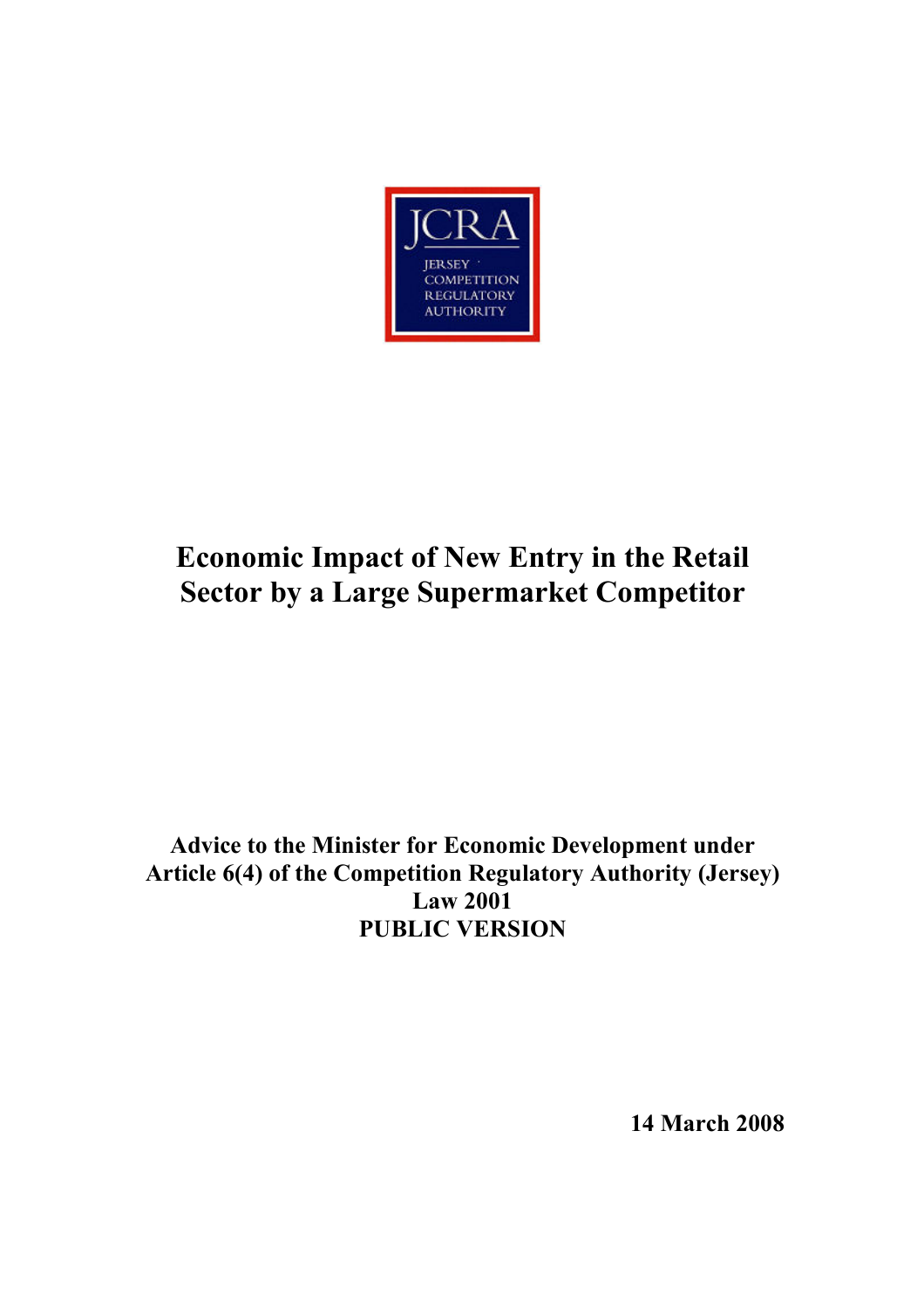

# Economic Impact of New Entry in the Retail Sector by a Large Supermarket Competitor

# Advice to the Minister for Economic Development under Article 6(4) of the Competition Regulatory Authority (Jersey) Law 2001 PUBLIC VERSION

14 March 2008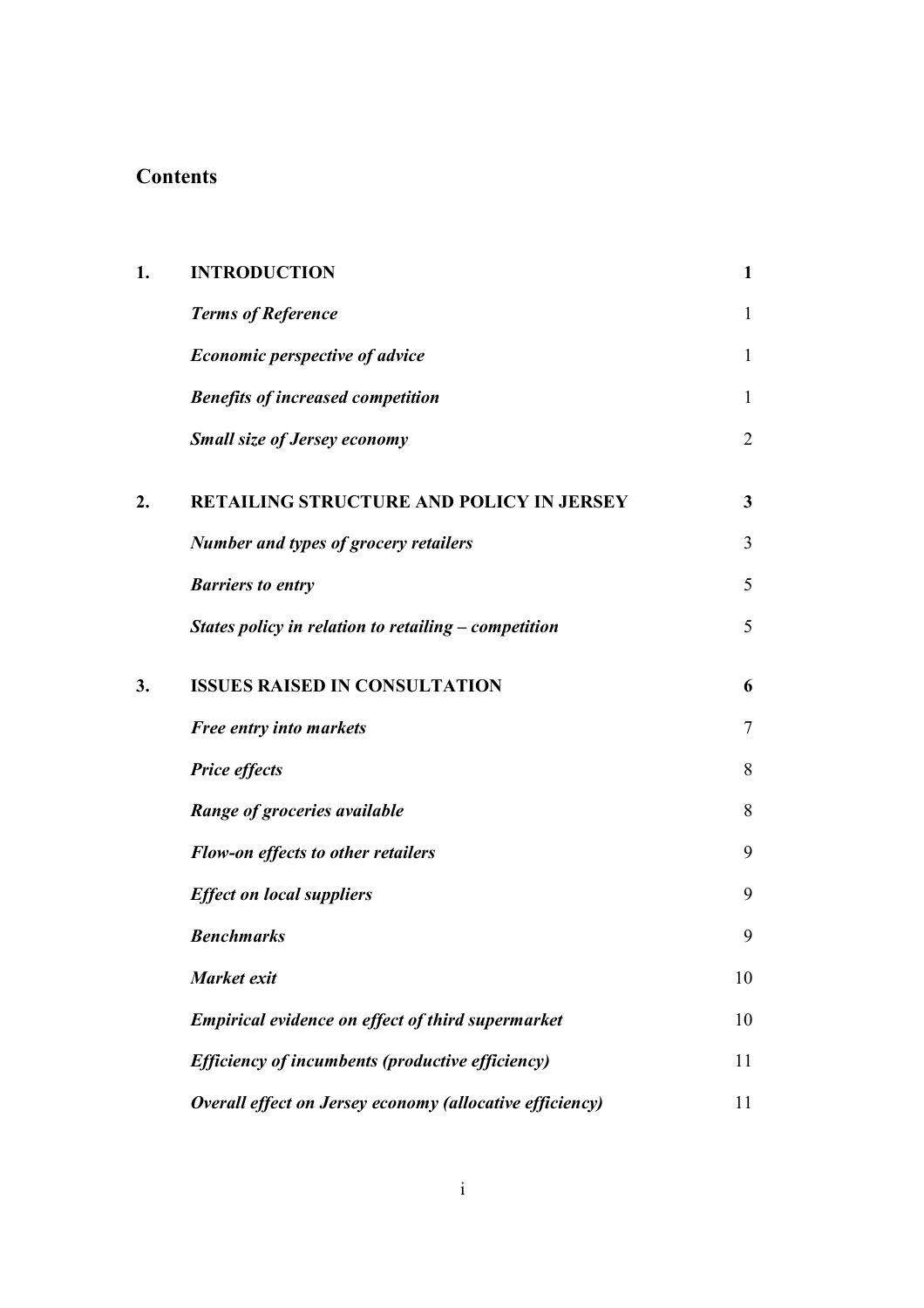# **Contents**

| 1. | <b>INTRODUCTION</b>                                      | $\mathbf{1}$   |
|----|----------------------------------------------------------|----------------|
|    | <b>Terms of Reference</b>                                | $\mathbf{1}$   |
|    | <b>Economic perspective of advice</b>                    | $\mathbf{1}$   |
|    | <b>Benefits of increased competition</b>                 | $\mathbf{1}$   |
|    | Small size of Jersey economy                             | $\overline{2}$ |
| 2. | RETAILING STRUCTURE AND POLICY IN JERSEY                 | 3              |
|    | <b>Number and types of grocery retailers</b>             | 3              |
|    | <b>Barriers to entry</b>                                 | 5              |
|    | States policy in relation to retailing $-$ competition   | 5              |
| 3. | <b>ISSUES RAISED IN CONSULTATION</b>                     | 6              |
|    | Free entry into markets                                  | $\tau$         |
|    | <b>Price effects</b>                                     | 8              |
|    | Range of groceries available                             | 8              |
|    | Flow-on effects to other retailers                       | 9              |
|    | <b>Effect on local suppliers</b>                         | 9              |
|    | <b>Benchmarks</b>                                        | 9              |
|    | Market exit                                              | 10             |
|    | <b>Empirical evidence on effect of third supermarket</b> | 10             |
|    | Efficiency of incumbents (productive efficiency)         | 11             |
|    | Overall effect on Jersey economy (allocative efficiency) | 11             |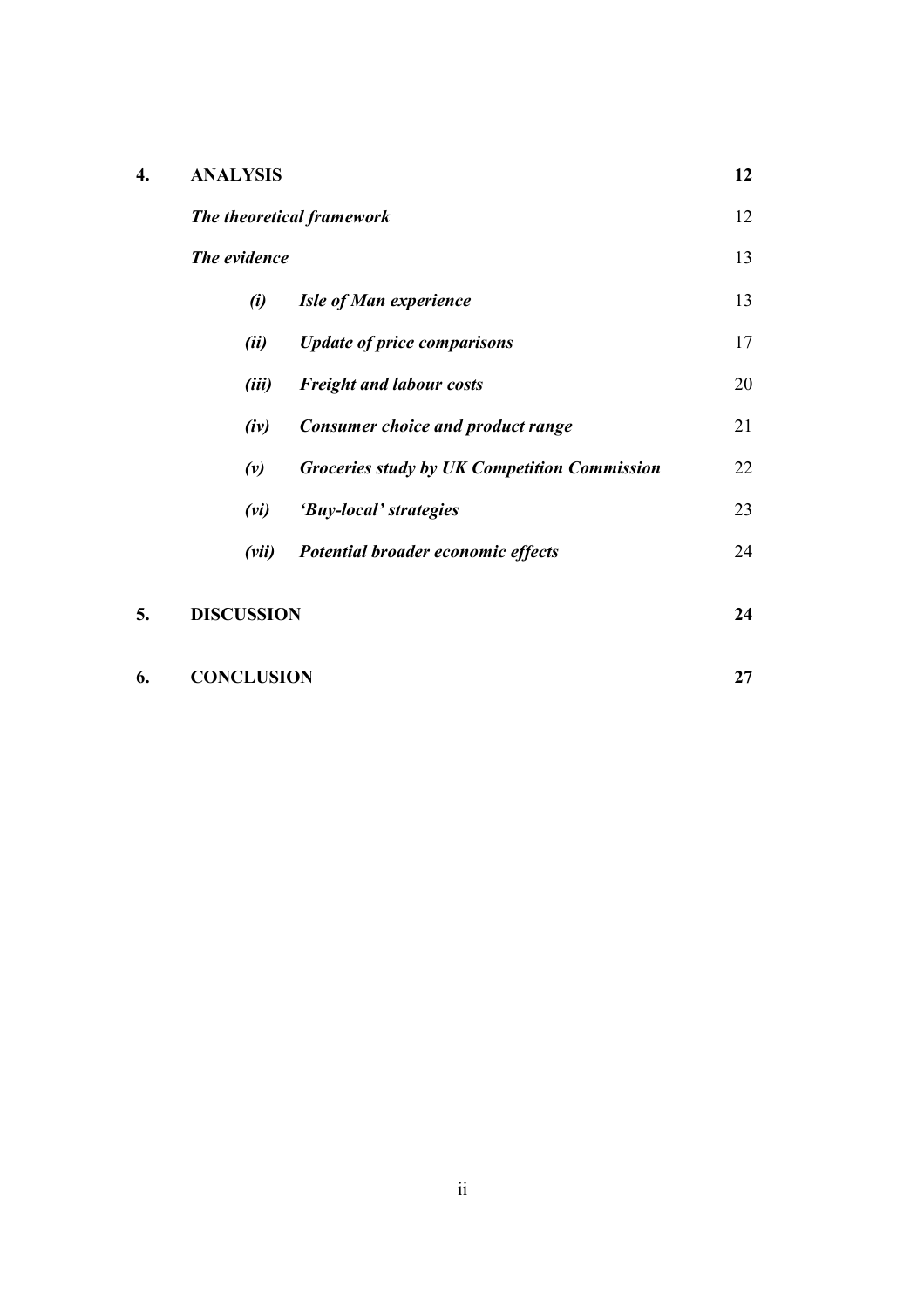| <b>ANALYSIS</b>           |              |                                              |    |  |
|---------------------------|--------------|----------------------------------------------|----|--|
| The theoretical framework |              |                                              | 12 |  |
|                           | The evidence |                                              | 13 |  |
|                           | (i)          | <b>Isle of Man experience</b>                | 13 |  |
|                           | (ii)         | <b>Update of price comparisons</b>           | 17 |  |
|                           | (iii)        | <b>Freight and labour costs</b>              | 20 |  |
|                           | (iv)         | <b>Consumer choice and product range</b>     | 21 |  |
|                           | (v)          | Groceries study by UK Competition Commission | 22 |  |
|                           | (vi)         | 'Buy-local' strategies                       | 23 |  |
|                           |              | Potential broader economic effects           | 24 |  |

| 6. | <b>CONCLUSION</b> |  |  |
|----|-------------------|--|--|
|----|-------------------|--|--|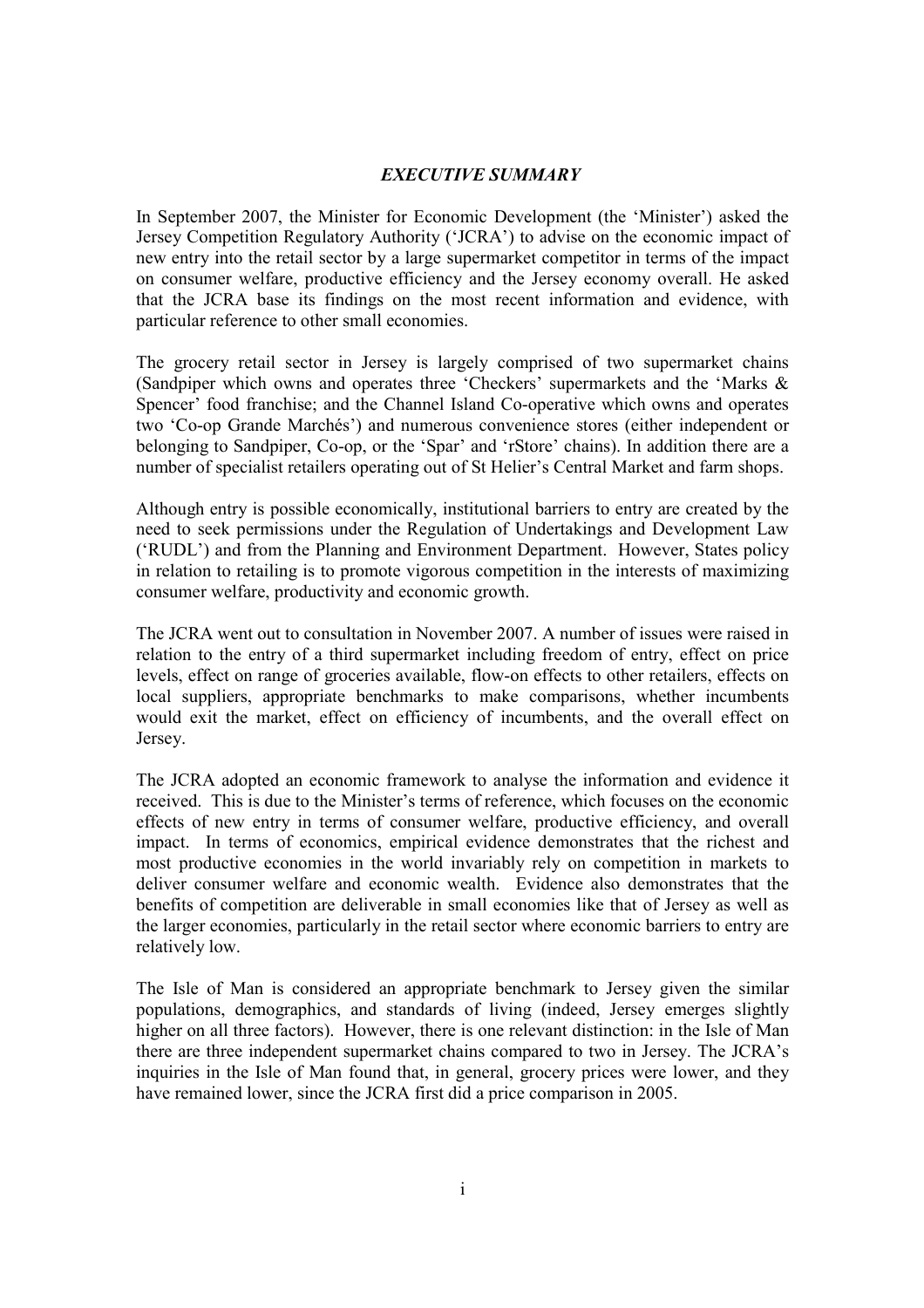#### EXECUTIVE SUMMARY

In September 2007, the Minister for Economic Development (the 'Minister') asked the Jersey Competition Regulatory Authority ('JCRA') to advise on the economic impact of new entry into the retail sector by a large supermarket competitor in terms of the impact on consumer welfare, productive efficiency and the Jersey economy overall. He asked that the JCRA base its findings on the most recent information and evidence, with particular reference to other small economies.

The grocery retail sector in Jersey is largely comprised of two supermarket chains (Sandpiper which owns and operates three 'Checkers' supermarkets and the 'Marks & Spencer' food franchise; and the Channel Island Co-operative which owns and operates two 'Co-op Grande Marchés') and numerous convenience stores (either independent or belonging to Sandpiper, Co-op, or the 'Spar' and 'rStore' chains). In addition there are a number of specialist retailers operating out of St Helier's Central Market and farm shops.

Although entry is possible economically, institutional barriers to entry are created by the need to seek permissions under the Regulation of Undertakings and Development Law ('RUDL') and from the Planning and Environment Department. However, States policy in relation to retailing is to promote vigorous competition in the interests of maximizing consumer welfare, productivity and economic growth.

The JCRA went out to consultation in November 2007. A number of issues were raised in relation to the entry of a third supermarket including freedom of entry, effect on price levels, effect on range of groceries available, flow-on effects to other retailers, effects on local suppliers, appropriate benchmarks to make comparisons, whether incumbents would exit the market, effect on efficiency of incumbents, and the overall effect on Jersey.

The JCRA adopted an economic framework to analyse the information and evidence it received. This is due to the Minister's terms of reference, which focuses on the economic effects of new entry in terms of consumer welfare, productive efficiency, and overall impact. In terms of economics, empirical evidence demonstrates that the richest and most productive economies in the world invariably rely on competition in markets to deliver consumer welfare and economic wealth. Evidence also demonstrates that the benefits of competition are deliverable in small economies like that of Jersey as well as the larger economies, particularly in the retail sector where economic barriers to entry are relatively low.

The Isle of Man is considered an appropriate benchmark to Jersey given the similar populations, demographics, and standards of living (indeed, Jersey emerges slightly higher on all three factors). However, there is one relevant distinction: in the Isle of Man there are three independent supermarket chains compared to two in Jersey. The JCRA's inquiries in the Isle of Man found that, in general, grocery prices were lower, and they have remained lower, since the JCRA first did a price comparison in 2005.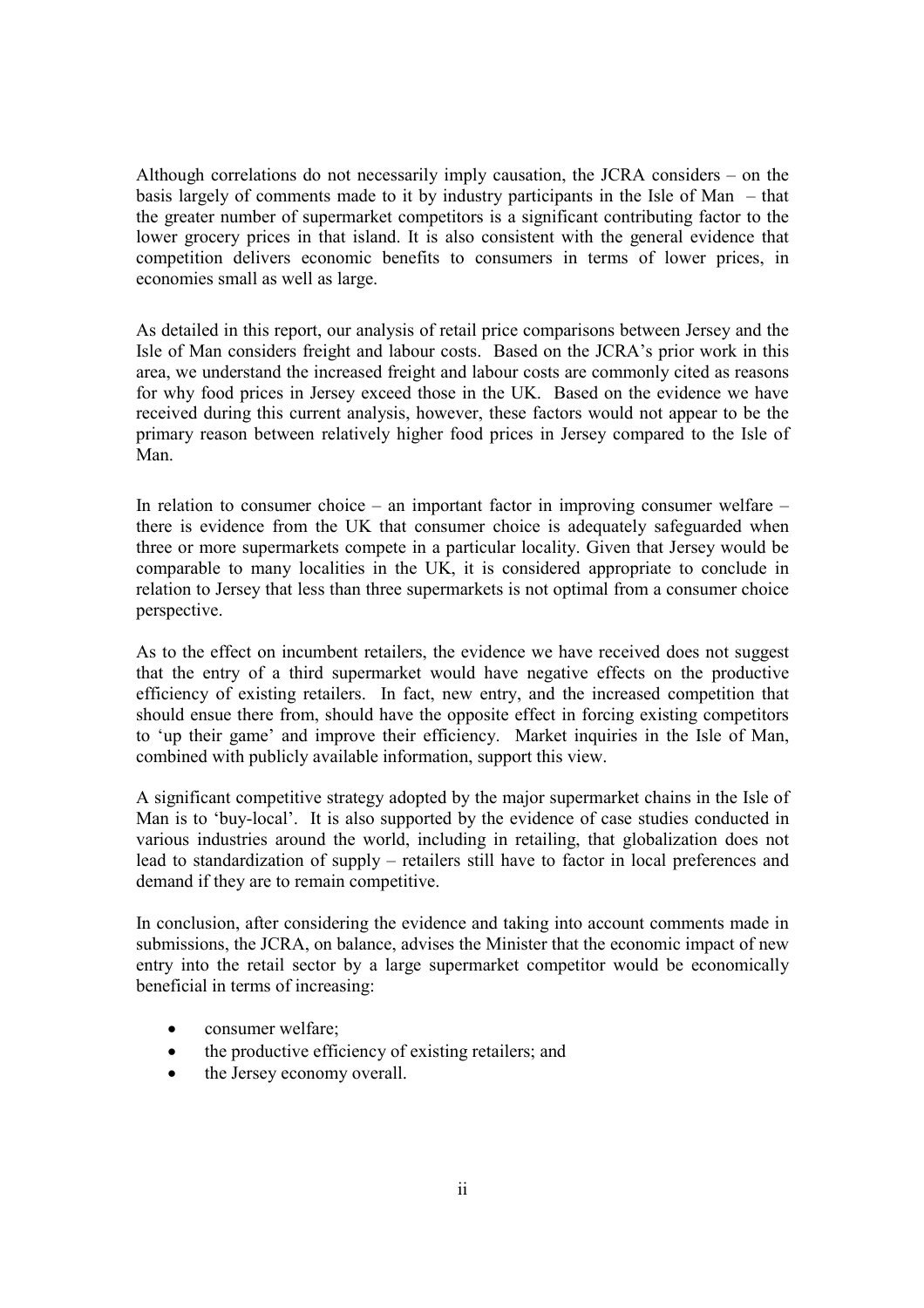Although correlations do not necessarily imply causation, the JCRA considers – on the basis largely of comments made to it by industry participants in the Isle of Man – that the greater number of supermarket competitors is a significant contributing factor to the lower grocery prices in that island. It is also consistent with the general evidence that competition delivers economic benefits to consumers in terms of lower prices, in economies small as well as large.

As detailed in this report, our analysis of retail price comparisons between Jersey and the Isle of Man considers freight and labour costs. Based on the JCRA's prior work in this area, we understand the increased freight and labour costs are commonly cited as reasons for why food prices in Jersey exceed those in the UK. Based on the evidence we have received during this current analysis, however, these factors would not appear to be the primary reason between relatively higher food prices in Jersey compared to the Isle of Man.

In relation to consumer choice – an important factor in improving consumer welfare – there is evidence from the UK that consumer choice is adequately safeguarded when three or more supermarkets compete in a particular locality. Given that Jersey would be comparable to many localities in the UK, it is considered appropriate to conclude in relation to Jersey that less than three supermarkets is not optimal from a consumer choice perspective.

As to the effect on incumbent retailers, the evidence we have received does not suggest that the entry of a third supermarket would have negative effects on the productive efficiency of existing retailers. In fact, new entry, and the increased competition that should ensue there from, should have the opposite effect in forcing existing competitors to 'up their game' and improve their efficiency. Market inquiries in the Isle of Man, combined with publicly available information, support this view.

A significant competitive strategy adopted by the major supermarket chains in the Isle of Man is to 'buy-local'. It is also supported by the evidence of case studies conducted in various industries around the world, including in retailing, that globalization does not lead to standardization of supply – retailers still have to factor in local preferences and demand if they are to remain competitive.

In conclusion, after considering the evidence and taking into account comments made in submissions, the JCRA, on balance, advises the Minister that the economic impact of new entry into the retail sector by a large supermarket competitor would be economically beneficial in terms of increasing:

- consumer welfare;
- the productive efficiency of existing retailers; and
- the Jersey economy overall.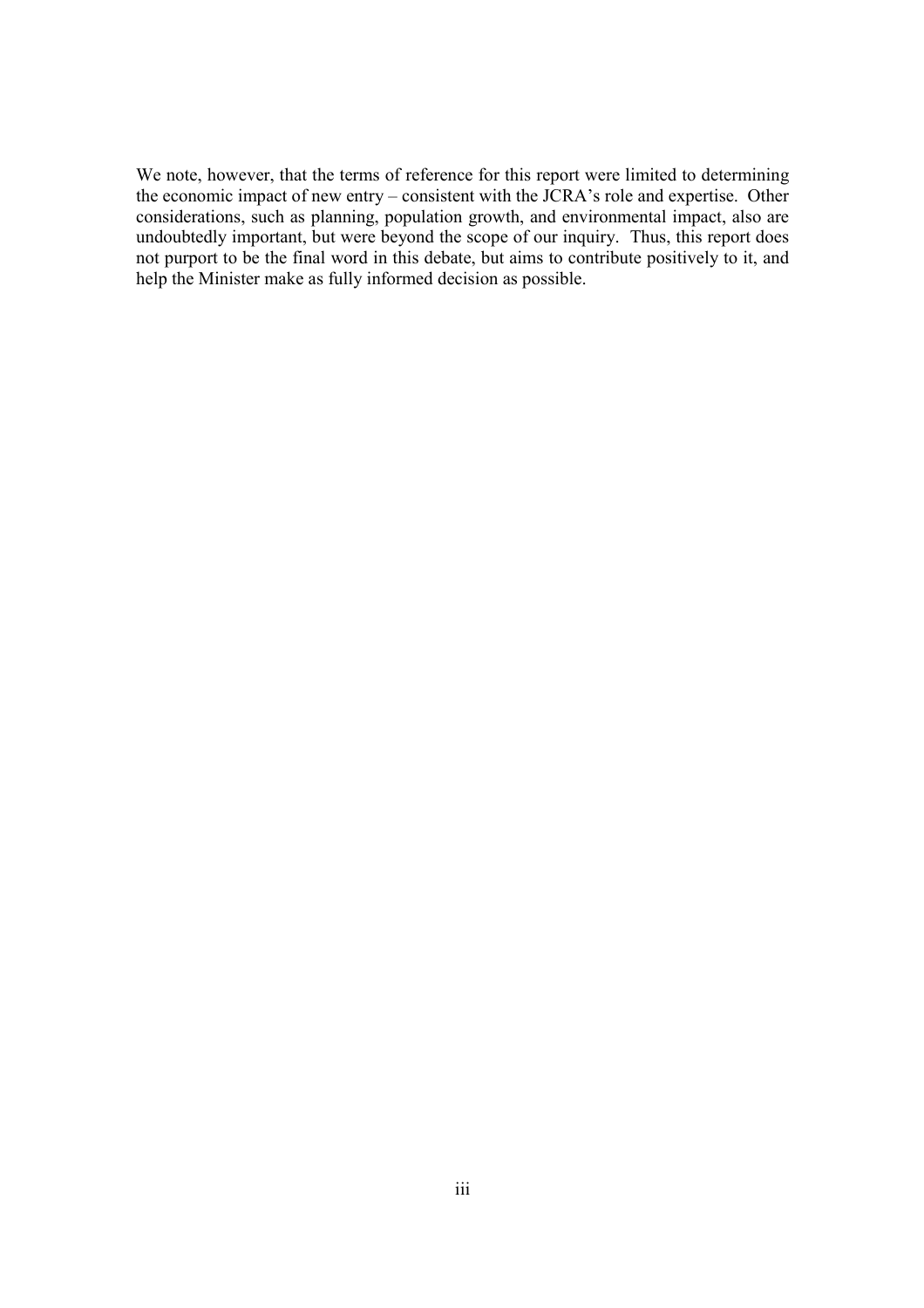We note, however, that the terms of reference for this report were limited to determining the economic impact of new entry – consistent with the JCRA's role and expertise. Other considerations, such as planning, population growth, and environmental impact, also are undoubtedly important, but were beyond the scope of our inquiry. Thus, this report does not purport to be the final word in this debate, but aims to contribute positively to it, and help the Minister make as fully informed decision as possible.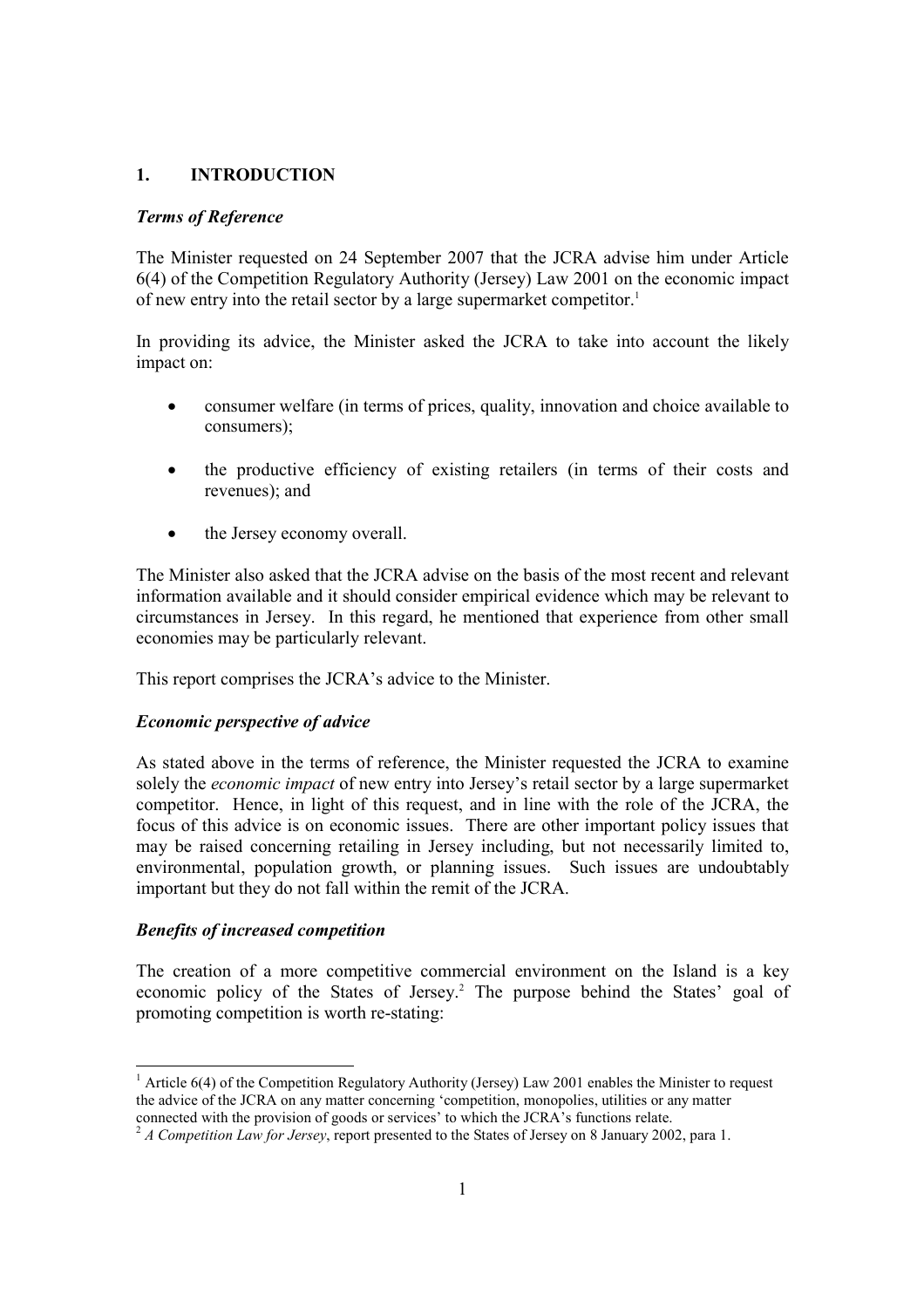# 1. INTRODUCTION

#### Terms of Reference

The Minister requested on 24 September 2007 that the JCRA advise him under Article 6(4) of the Competition Regulatory Authority (Jersey) Law 2001 on the economic impact of new entry into the retail sector by a large supermarket competitor.<sup>1</sup>

In providing its advice, the Minister asked the JCRA to take into account the likely impact on:

- consumer welfare (in terms of prices, quality, innovation and choice available to consumers);
- the productive efficiency of existing retailers (in terms of their costs and revenues); and
- the Jersey economy overall.

The Minister also asked that the JCRA advise on the basis of the most recent and relevant information available and it should consider empirical evidence which may be relevant to circumstances in Jersey. In this regard, he mentioned that experience from other small economies may be particularly relevant.

This report comprises the JCRA's advice to the Minister.

#### Economic perspective of advice

As stated above in the terms of reference, the Minister requested the JCRA to examine solely the *economic impact* of new entry into Jersey's retail sector by a large supermarket competitor. Hence, in light of this request, and in line with the role of the JCRA, the focus of this advice is on economic issues. There are other important policy issues that may be raised concerning retailing in Jersey including, but not necessarily limited to, environmental, population growth, or planning issues. Such issues are undoubtably important but they do not fall within the remit of the JCRA.

#### Benefits of increased competition

The creation of a more competitive commercial environment on the Island is a key economic policy of the States of Jersey.<sup>2</sup> The purpose behind the States' goal of promoting competition is worth re-stating:

<sup>-</sup><sup>1</sup> Article 6(4) of the Competition Regulatory Authority (Jersey) Law 2001 enables the Minister to request the advice of the JCRA on any matter concerning 'competition, monopolies, utilities or any matter connected with the provision of goods or services' to which the JCRA's functions relate.

 $2 A$  Competition Law for Jersey, report presented to the States of Jersey on 8 January 2002, para 1.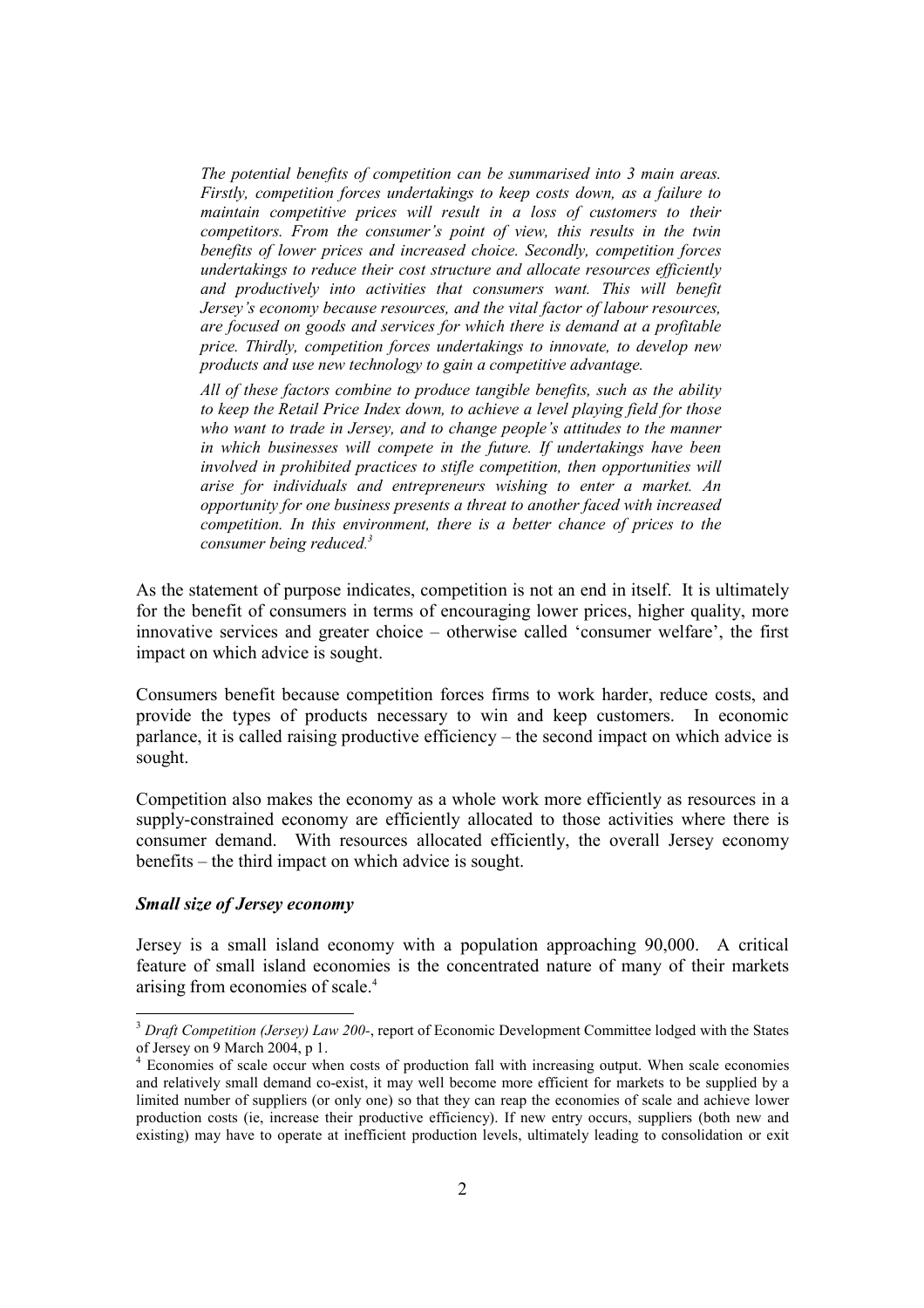The potential benefits of competition can be summarised into 3 main areas. Firstly, competition forces undertakings to keep costs down, as a failure to maintain competitive prices will result in a loss of customers to their competitors. From the consumer's point of view, this results in the twin benefits of lower prices and increased choice. Secondly, competition forces undertakings to reduce their cost structure and allocate resources efficiently and productively into activities that consumers want. This will benefit Jersey's economy because resources, and the vital factor of labour resources, are focused on goods and services for which there is demand at a profitable price. Thirdly, competition forces undertakings to innovate, to develop new products and use new technology to gain a competitive advantage.

All of these factors combine to produce tangible benefits, such as the ability to keep the Retail Price Index down, to achieve a level playing field for those who want to trade in Jersey, and to change people's attitudes to the manner in which businesses will compete in the future. If undertakings have been involved in prohibited practices to stifle competition, then opportunities will arise for individuals and entrepreneurs wishing to enter a market. An opportunity for one business presents a threat to another faced with increased competition. In this environment, there is a better chance of prices to the consumer being reduced.<sup>3</sup>

As the statement of purpose indicates, competition is not an end in itself. It is ultimately for the benefit of consumers in terms of encouraging lower prices, higher quality, more innovative services and greater choice – otherwise called 'consumer welfare', the first impact on which advice is sought.

Consumers benefit because competition forces firms to work harder, reduce costs, and provide the types of products necessary to win and keep customers. In economic parlance, it is called raising productive efficiency – the second impact on which advice is sought.

Competition also makes the economy as a whole work more efficiently as resources in a supply-constrained economy are efficiently allocated to those activities where there is consumer demand. With resources allocated efficiently, the overall Jersey economy benefits – the third impact on which advice is sought.

#### Small size of Jersey economy

-

Jersey is a small island economy with a population approaching 90,000. A critical feature of small island economies is the concentrated nature of many of their markets arising from economies of scale.<sup>4</sup>

 $3$  Draft Competition (Jersey) Law 200-, report of Economic Development Committee lodged with the States of Jersey on 9 March 2004, p 1.

<sup>4</sup> Economies of scale occur when costs of production fall with increasing output. When scale economies and relatively small demand co-exist, it may well become more efficient for markets to be supplied by a limited number of suppliers (or only one) so that they can reap the economies of scale and achieve lower production costs (ie, increase their productive efficiency). If new entry occurs, suppliers (both new and existing) may have to operate at inefficient production levels, ultimately leading to consolidation or exit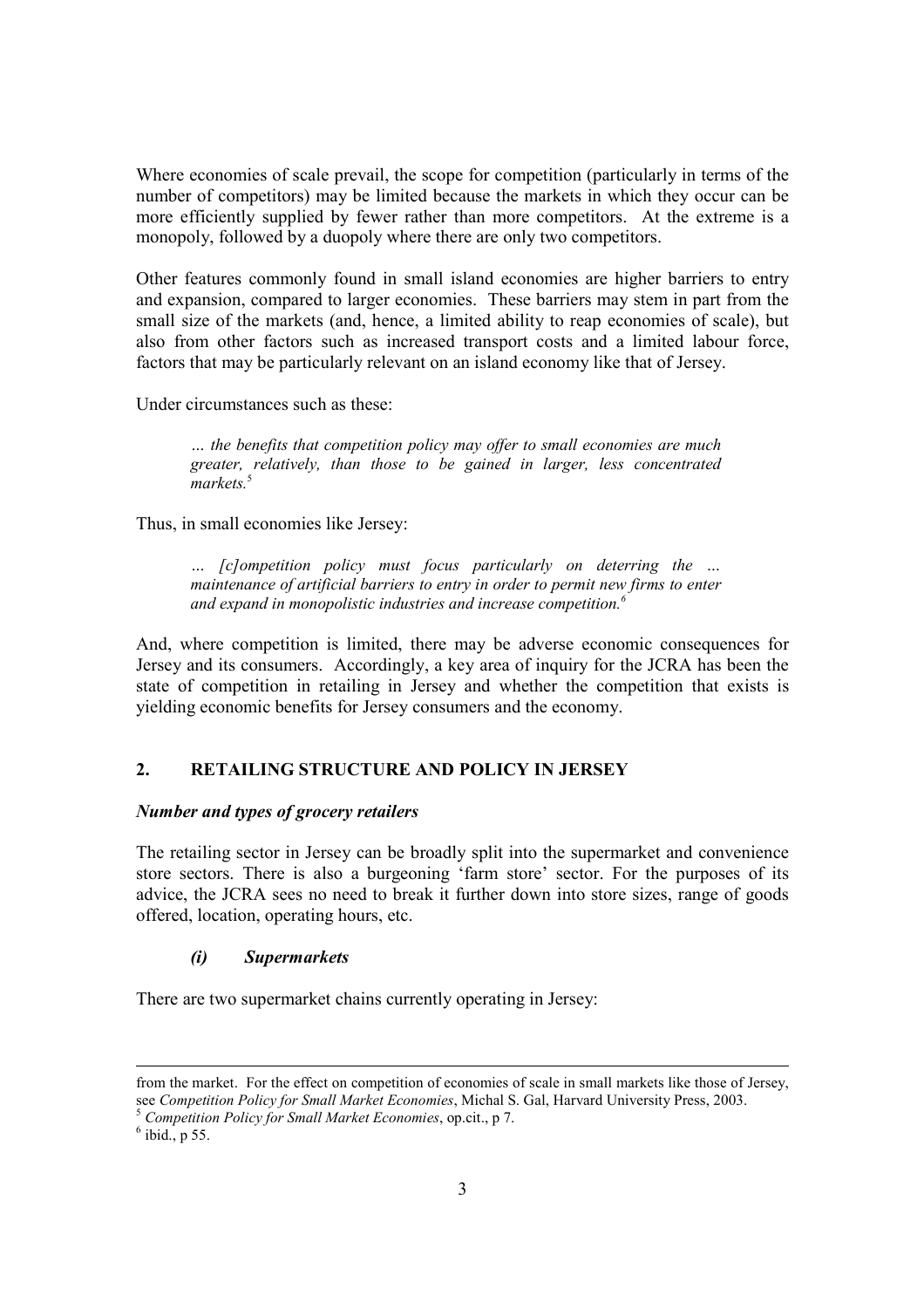Where economies of scale prevail, the scope for competition (particularly in terms of the number of competitors) may be limited because the markets in which they occur can be more efficiently supplied by fewer rather than more competitors. At the extreme is a monopoly, followed by a duopoly where there are only two competitors.

Other features commonly found in small island economies are higher barriers to entry and expansion, compared to larger economies. These barriers may stem in part from the small size of the markets (and, hence, a limited ability to reap economies of scale), but also from other factors such as increased transport costs and a limited labour force, factors that may be particularly relevant on an island economy like that of Jersey.

Under circumstances such as these:

… the benefits that competition policy may offer to small economies are much greater, relatively, than those to be gained in larger, less concentrated markets.<sup>5</sup>

Thus, in small economies like Jersey:

… [c]ompetition policy must focus particularly on deterring the … maintenance of artificial barriers to entry in order to permit new firms to enter and expand in monopolistic industries and increase competition.<sup>6</sup>

And, where competition is limited, there may be adverse economic consequences for Jersey and its consumers. Accordingly, a key area of inquiry for the JCRA has been the state of competition in retailing in Jersey and whether the competition that exists is yielding economic benefits for Jersey consumers and the economy.

# 2. RETAILING STRUCTURE AND POLICY IN JERSEY

#### Number and types of grocery retailers

The retailing sector in Jersey can be broadly split into the supermarket and convenience store sectors. There is also a burgeoning 'farm store' sector. For the purposes of its advice, the JCRA sees no need to break it further down into store sizes, range of goods offered, location, operating hours, etc.

# (i) Supermarkets

There are two supermarket chains currently operating in Jersey:

l

from the market. For the effect on competition of economies of scale in small markets like those of Jersey, see Competition Policy for Small Market Economies, Michal S. Gal, Harvard University Press, 2003.

 $<sup>5</sup>$  Competition Policy for Small Market Economies, op.cit., p 7.</sup>

 $<sup>6</sup>$  ibid., p 55.</sup>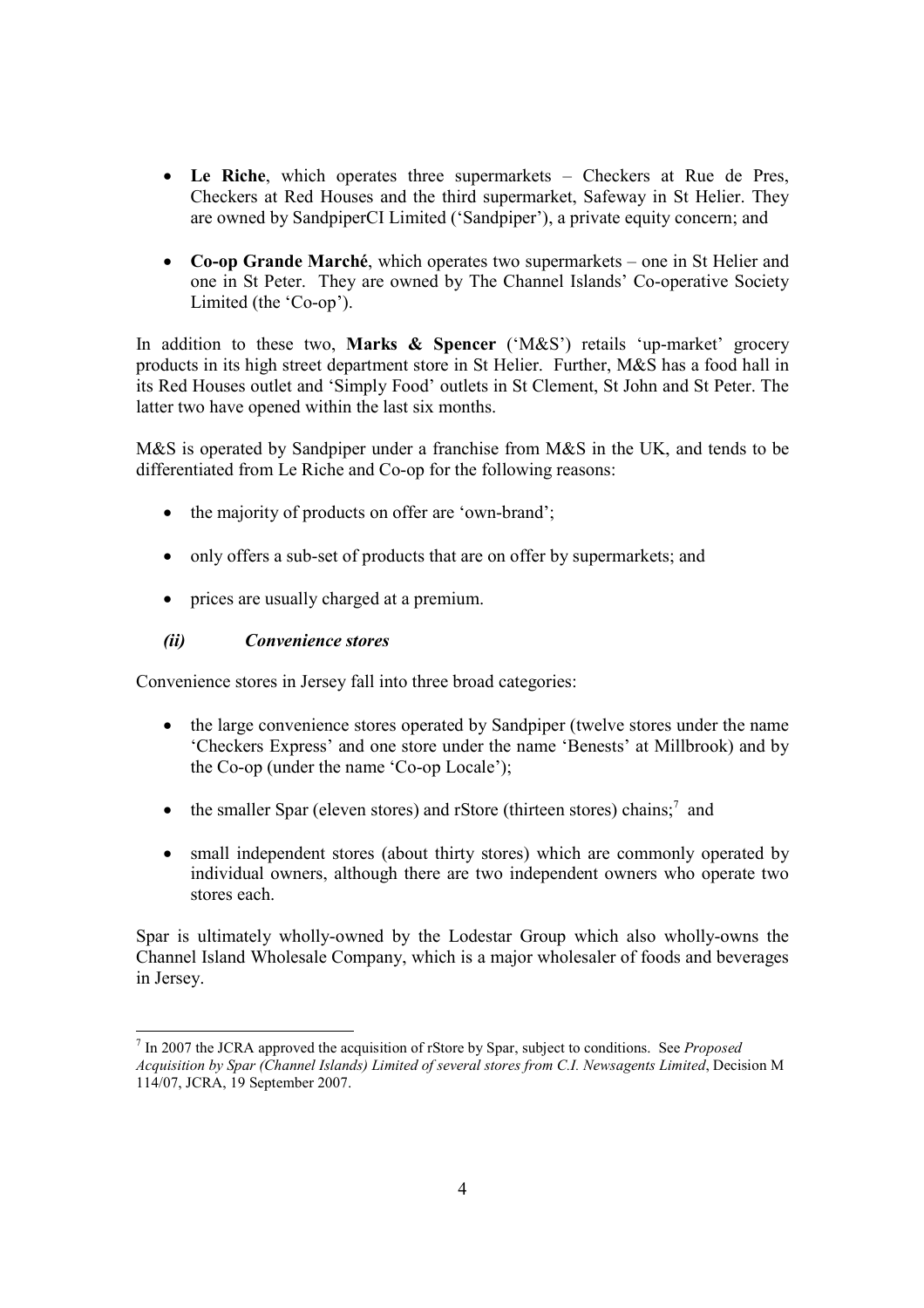- Le Riche, which operates three supermarkets Checkers at Rue de Pres, Checkers at Red Houses and the third supermarket, Safeway in St Helier. They are owned by SandpiperCI Limited ('Sandpiper'), a private equity concern; and
- Co-op Grande Marché, which operates two supermarkets one in St Helier and one in St Peter. They are owned by The Channel Islands' Co-operative Society Limited (the 'Co-op').

In addition to these two, Marks & Spencer ('M&S') retails 'up-market' grocery products in its high street department store in St Helier. Further, M&S has a food hall in its Red Houses outlet and 'Simply Food' outlets in St Clement, St John and St Peter. The latter two have opened within the last six months.

M&S is operated by Sandpiper under a franchise from M&S in the UK, and tends to be differentiated from Le Riche and Co-op for the following reasons:

- the majority of products on offer are 'own-brand';
- only offers a sub-set of products that are on offer by supermarkets; and
- prices are usually charged at a premium.

# (ii) Convenience stores

Convenience stores in Jersey fall into three broad categories:

- the large convenience stores operated by Sandpiper (twelve stores under the name 'Checkers Express' and one store under the name 'Benests' at Millbrook) and by the Co-op (under the name 'Co-op Locale');
- the smaller Spar (eleven stores) and rStore (thirteen stores) chains;<sup>7</sup> and
- small independent stores (about thirty stores) which are commonly operated by individual owners, although there are two independent owners who operate two stores each.

Spar is ultimately wholly-owned by the Lodestar Group which also wholly-owns the Channel Island Wholesale Company, which is a major wholesaler of foods and beverages in Jersey.

<sup>-</sup> $<sup>7</sup>$  In 2007 the JCRA approved the acquisition of rStore by Spar, subject to conditions. See *Proposed*</sup> Acquisition by Spar (Channel Islands) Limited of several stores from C.I. Newsagents Limited, Decision M 114/07, JCRA, 19 September 2007.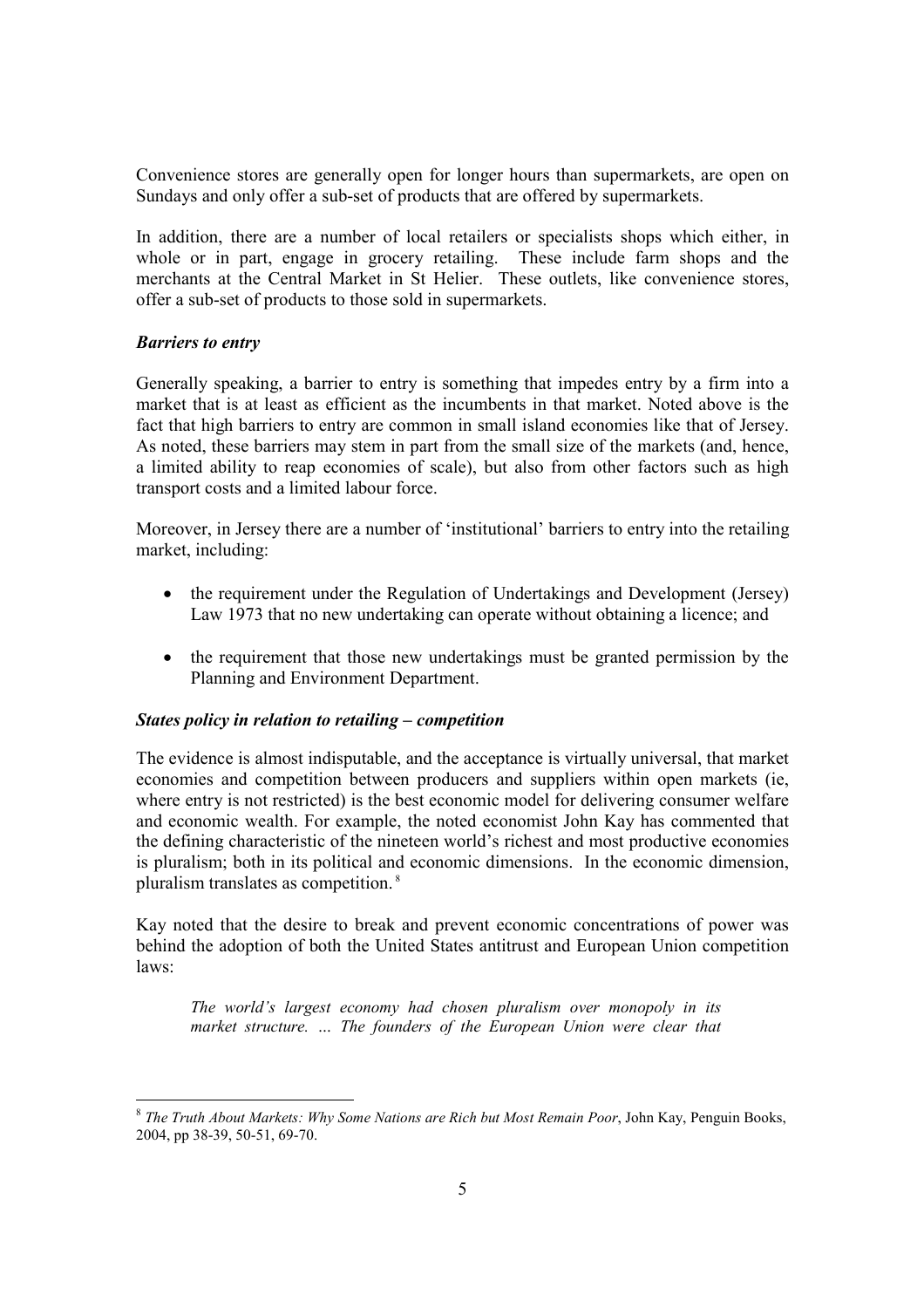Convenience stores are generally open for longer hours than supermarkets, are open on Sundays and only offer a sub-set of products that are offered by supermarkets.

In addition, there are a number of local retailers or specialists shops which either, in whole or in part, engage in grocery retailing. These include farm shops and the merchants at the Central Market in St Helier. These outlets, like convenience stores, offer a sub-set of products to those sold in supermarkets.

#### Barriers to entry

Generally speaking, a barrier to entry is something that impedes entry by a firm into a market that is at least as efficient as the incumbents in that market. Noted above is the fact that high barriers to entry are common in small island economies like that of Jersey. As noted, these barriers may stem in part from the small size of the markets (and, hence, a limited ability to reap economies of scale), but also from other factors such as high transport costs and a limited labour force.

Moreover, in Jersey there are a number of 'institutional' barriers to entry into the retailing market, including:

- the requirement under the Regulation of Undertakings and Development (Jersey) Law 1973 that no new undertaking can operate without obtaining a licence; and
- the requirement that those new undertakings must be granted permission by the Planning and Environment Department.

#### States policy in relation to retailing – competition

The evidence is almost indisputable, and the acceptance is virtually universal, that market economies and competition between producers and suppliers within open markets (ie, where entry is not restricted) is the best economic model for delivering consumer welfare and economic wealth. For example, the noted economist John Kay has commented that the defining characteristic of the nineteen world's richest and most productive economies is pluralism; both in its political and economic dimensions. In the economic dimension, pluralism translates as competition.<sup>8</sup>

Kay noted that the desire to break and prevent economic concentrations of power was behind the adoption of both the United States antitrust and European Union competition laws:

The world's largest economy had chosen pluralism over monopoly in its market structure. … The founders of the European Union were clear that

<sup>-</sup><sup>8</sup> The Truth About Markets: Why Some Nations are Rich but Most Remain Poor, John Kay, Penguin Books, 2004, pp 38-39, 50-51, 69-70.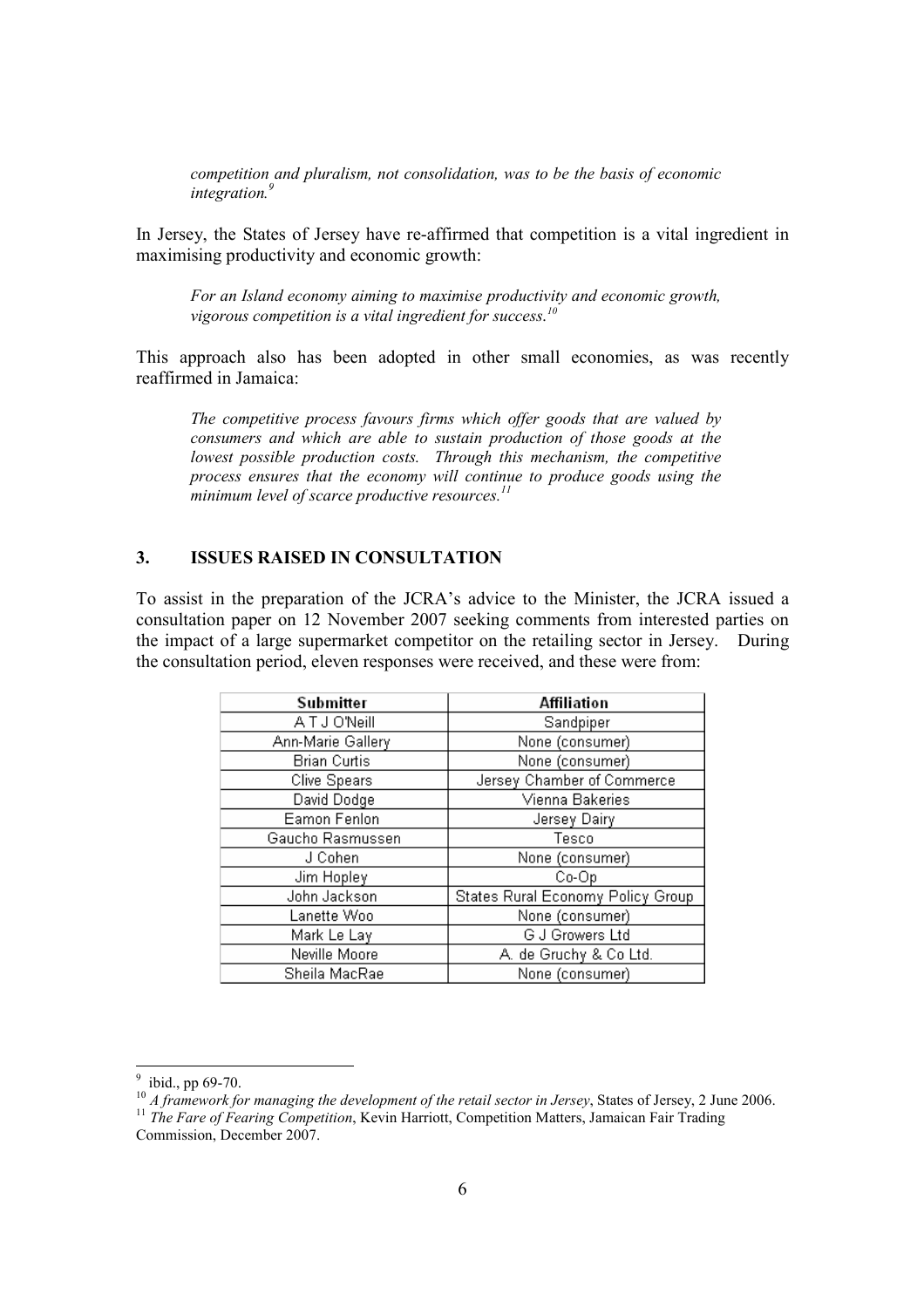competition and pluralism, not consolidation, was to be the basis of economic integration.<sup>9</sup>

In Jersey, the States of Jersey have re-affirmed that competition is a vital ingredient in maximising productivity and economic growth:

For an Island economy aiming to maximise productivity and economic growth, vigorous competition is a vital ingredient for success.<sup>10</sup>

This approach also has been adopted in other small economies, as was recently reaffirmed in Jamaica:

The competitive process favours firms which offer goods that are valued by consumers and which are able to sustain production of those goods at the lowest possible production costs. Through this mechanism, the competitive process ensures that the economy will continue to produce goods using the minimum level of scarce productive resources. $^{11}$ 

#### 3. ISSUES RAISED IN CONSULTATION

To assist in the preparation of the JCRA's advice to the Minister, the JCRA issued a consultation paper on 12 November 2007 seeking comments from interested parties on the impact of a large supermarket competitor on the retailing sector in Jersey. During the consultation period, eleven responses were received, and these were from:

| Submitter           | Affiliation                       |
|---------------------|-----------------------------------|
| <b>ATJO'Neill</b>   | Sandpiper                         |
| Ann-Marie Gallery   | None (consumer)                   |
| <b>Brian Curtis</b> | None (consumer)                   |
| <b>Clive Spears</b> | Jersey Chamber of Commerce        |
| David Dodge         | Vienna Bakeries                   |
| Eamon Fenlon        | Jersey Dairy                      |
| Gaucho Rasmussen    | Tesco                             |
| J Cohen             | None (consumer)                   |
| Jim Hopley          | Co-Op                             |
| John Jackson        | States Rural Economy Policy Group |
| Lanette Woo         | None (consumer)                   |
| Mark Le Lay         | G J Growers Ltd                   |
| Neville Moore       | A. de Gruchy & Co Ltd.            |
| Sheila MacRae       | None (consumer)                   |

 $\frac{9}{9}$  ibid., pp 69-70.

 $10<sup>10</sup>$  A framework for managing the development of the retail sector in Jersey, States of Jersey, 2 June 2006.

 $11$  The Fare of Fearing Competition, Kevin Harriott, Competition Matters, Jamaican Fair Trading Commission, December 2007.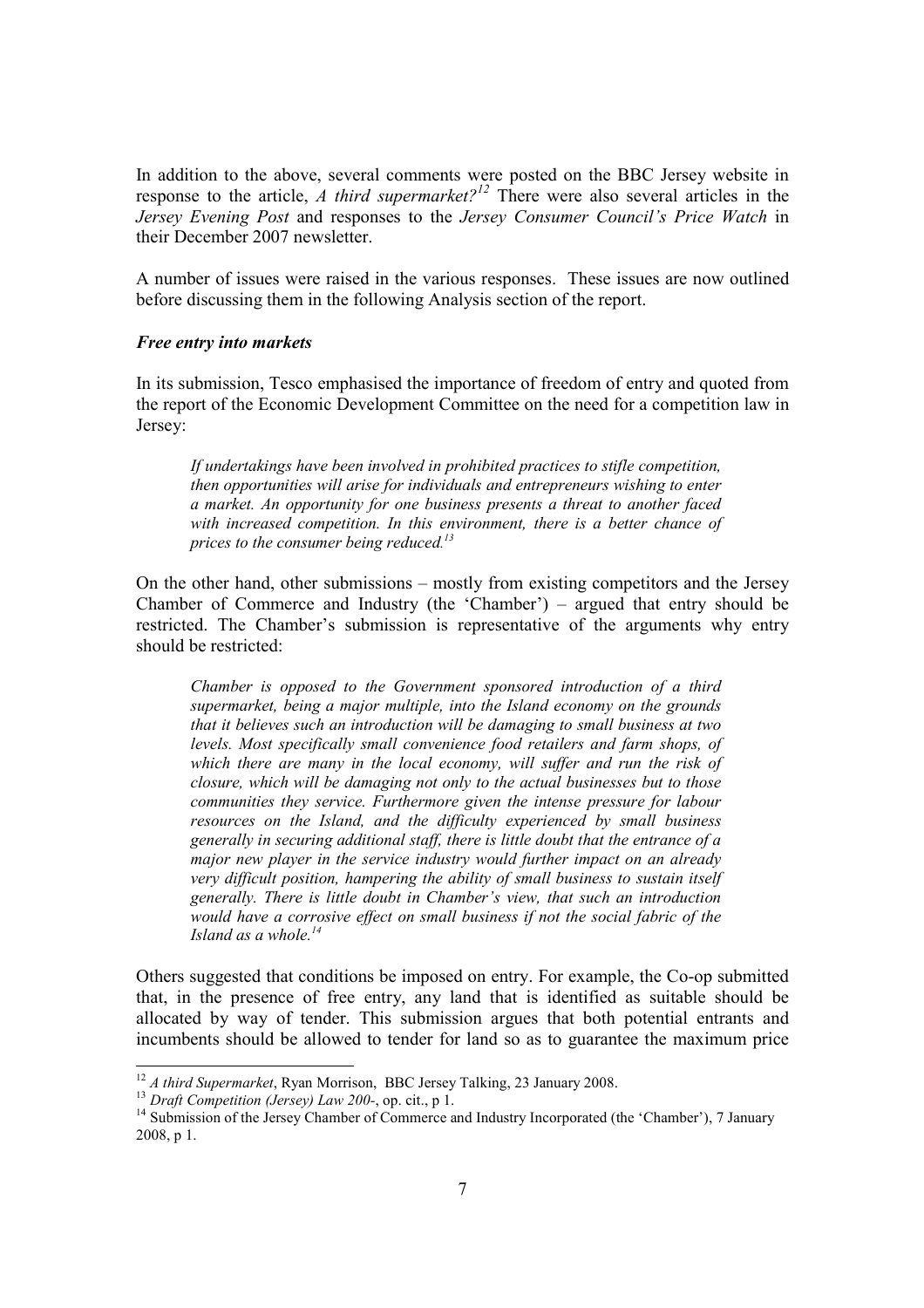In addition to the above, several comments were posted on the BBC Jersey website in response to the article, A third supermarket?<sup>12</sup> There were also several articles in the Jersey Evening Post and responses to the Jersey Consumer Council's Price Watch in their December 2007 newsletter.

A number of issues were raised in the various responses. These issues are now outlined before discussing them in the following Analysis section of the report.

#### Free entry into markets

In its submission, Tesco emphasised the importance of freedom of entry and quoted from the report of the Economic Development Committee on the need for a competition law in Jersey:

If undertakings have been involved in prohibited practices to stifle competition, then opportunities will arise for individuals and entrepreneurs wishing to enter a market. An opportunity for one business presents a threat to another faced with increased competition. In this environment, there is a better chance of prices to the consumer being reduced.<sup>13</sup>

On the other hand, other submissions – mostly from existing competitors and the Jersey Chamber of Commerce and Industry (the 'Chamber') – argued that entry should be restricted. The Chamber's submission is representative of the arguments why entry should be restricted:

Chamber is opposed to the Government sponsored introduction of a third supermarket, being a major multiple, into the Island economy on the grounds that it believes such an introduction will be damaging to small business at two levels. Most specifically small convenience food retailers and farm shops, of which there are many in the local economy, will suffer and run the risk of closure, which will be damaging not only to the actual businesses but to those communities they service. Furthermore given the intense pressure for labour resources on the Island, and the difficulty experienced by small business generally in securing additional staff, there is little doubt that the entrance of a major new player in the service industry would further impact on an already very difficult position, hampering the ability of small business to sustain itself generally. There is little doubt in Chamber's view, that such an introduction would have a corrosive effect on small business if not the social fabric of the Island as a whole.<sup>14</sup>

Others suggested that conditions be imposed on entry. For example, the Co-op submitted that, in the presence of free entry, any land that is identified as suitable should be allocated by way of tender. This submission argues that both potential entrants and incumbents should be allowed to tender for land so as to guarantee the maximum price

 $12 A$  third Supermarket, Ryan Morrison, BBC Jersey Talking, 23 January 2008.

 $13$  Draft Competition (Jersey) Law 200-, op. cit., p 1.

<sup>&</sup>lt;sup>14</sup> Submission of the Jersey Chamber of Commerce and Industry Incorporated (the 'Chamber'), 7 January 2008, p 1.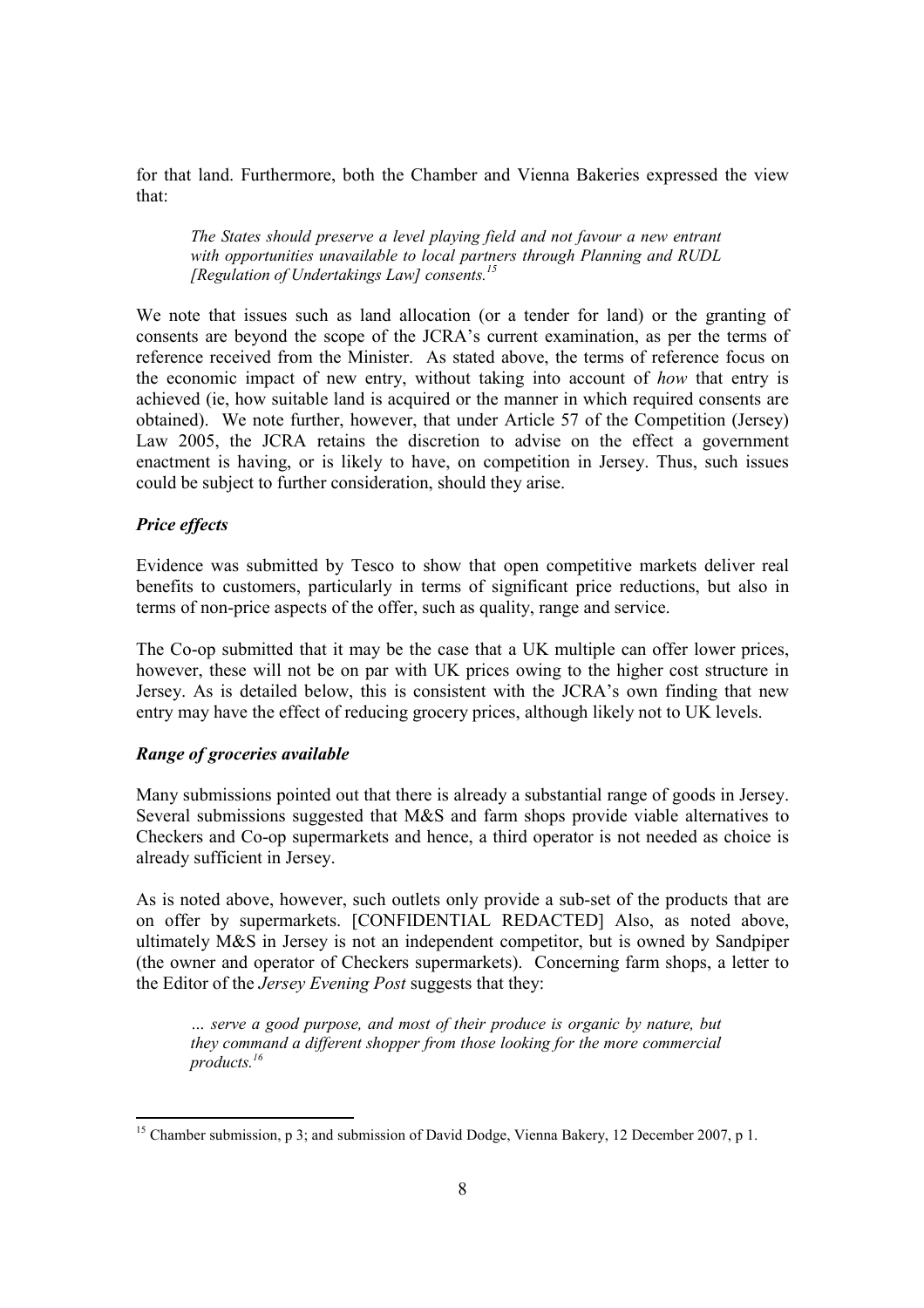for that land. Furthermore, both the Chamber and Vienna Bakeries expressed the view that:

The States should preserve a level playing field and not favour a new entrant with opportunities unavailable to local partners through Planning and RUDL [Regulation of Undertakings Law] consents.<sup>15</sup>

We note that issues such as land allocation (or a tender for land) or the granting of consents are beyond the scope of the JCRA's current examination, as per the terms of reference received from the Minister. As stated above, the terms of reference focus on the economic impact of new entry, without taking into account of how that entry is achieved (ie, how suitable land is acquired or the manner in which required consents are obtained). We note further, however, that under Article 57 of the Competition (Jersey) Law 2005, the JCRA retains the discretion to advise on the effect a government enactment is having, or is likely to have, on competition in Jersey. Thus, such issues could be subject to further consideration, should they arise.

#### Price effects

-

Evidence was submitted by Tesco to show that open competitive markets deliver real benefits to customers, particularly in terms of significant price reductions, but also in terms of non-price aspects of the offer, such as quality, range and service.

The Co-op submitted that it may be the case that a UK multiple can offer lower prices, however, these will not be on par with UK prices owing to the higher cost structure in Jersey. As is detailed below, this is consistent with the JCRA's own finding that new entry may have the effect of reducing grocery prices, although likely not to UK levels.

#### Range of groceries available

Many submissions pointed out that there is already a substantial range of goods in Jersey. Several submissions suggested that M&S and farm shops provide viable alternatives to Checkers and Co-op supermarkets and hence, a third operator is not needed as choice is already sufficient in Jersey.

As is noted above, however, such outlets only provide a sub-set of the products that are on offer by supermarkets. [CONFIDENTIAL REDACTED] Also, as noted above, ultimately M&S in Jersey is not an independent competitor, but is owned by Sandpiper (the owner and operator of Checkers supermarkets). Concerning farm shops, a letter to the Editor of the Jersey Evening Post suggests that they:

… serve a good purpose, and most of their produce is organic by nature, but they command a different shopper from those looking for the more commercial products.<sup>16</sup>

<sup>&</sup>lt;sup>15</sup> Chamber submission, p 3; and submission of David Dodge, Vienna Bakery, 12 December 2007, p 1.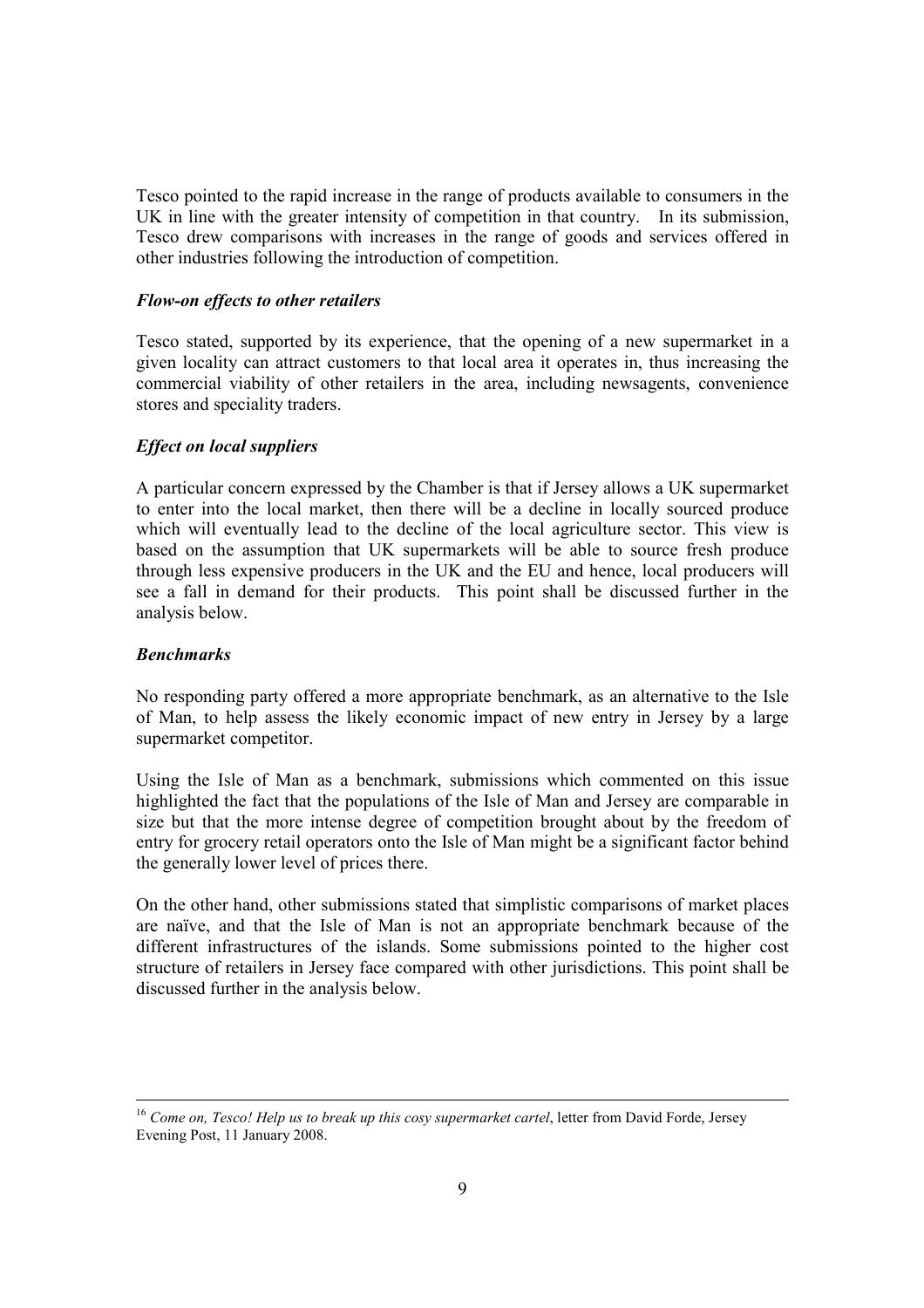Tesco pointed to the rapid increase in the range of products available to consumers in the UK in line with the greater intensity of competition in that country. In its submission, Tesco drew comparisons with increases in the range of goods and services offered in other industries following the introduction of competition.

#### Flow-on effects to other retailers

Tesco stated, supported by its experience, that the opening of a new supermarket in a given locality can attract customers to that local area it operates in, thus increasing the commercial viability of other retailers in the area, including newsagents, convenience stores and speciality traders.

#### Effect on local suppliers

A particular concern expressed by the Chamber is that if Jersey allows a UK supermarket to enter into the local market, then there will be a decline in locally sourced produce which will eventually lead to the decline of the local agriculture sector. This view is based on the assumption that UK supermarkets will be able to source fresh produce through less expensive producers in the UK and the EU and hence, local producers will see a fall in demand for their products. This point shall be discussed further in the analysis below.

#### Benchmarks

No responding party offered a more appropriate benchmark, as an alternative to the Isle of Man, to help assess the likely economic impact of new entry in Jersey by a large supermarket competitor.

Using the Isle of Man as a benchmark, submissions which commented on this issue highlighted the fact that the populations of the Isle of Man and Jersey are comparable in size but that the more intense degree of competition brought about by the freedom of entry for grocery retail operators onto the Isle of Man might be a significant factor behind the generally lower level of prices there.

On the other hand, other submissions stated that simplistic comparisons of market places are naïve, and that the Isle of Man is not an appropriate benchmark because of the different infrastructures of the islands. Some submissions pointed to the higher cost structure of retailers in Jersey face compared with other jurisdictions. This point shall be discussed further in the analysis below.

l  $16$  Come on, Tesco! Help us to break up this cosy supermarket cartel, letter from David Forde, Jersey Evening Post, 11 January 2008.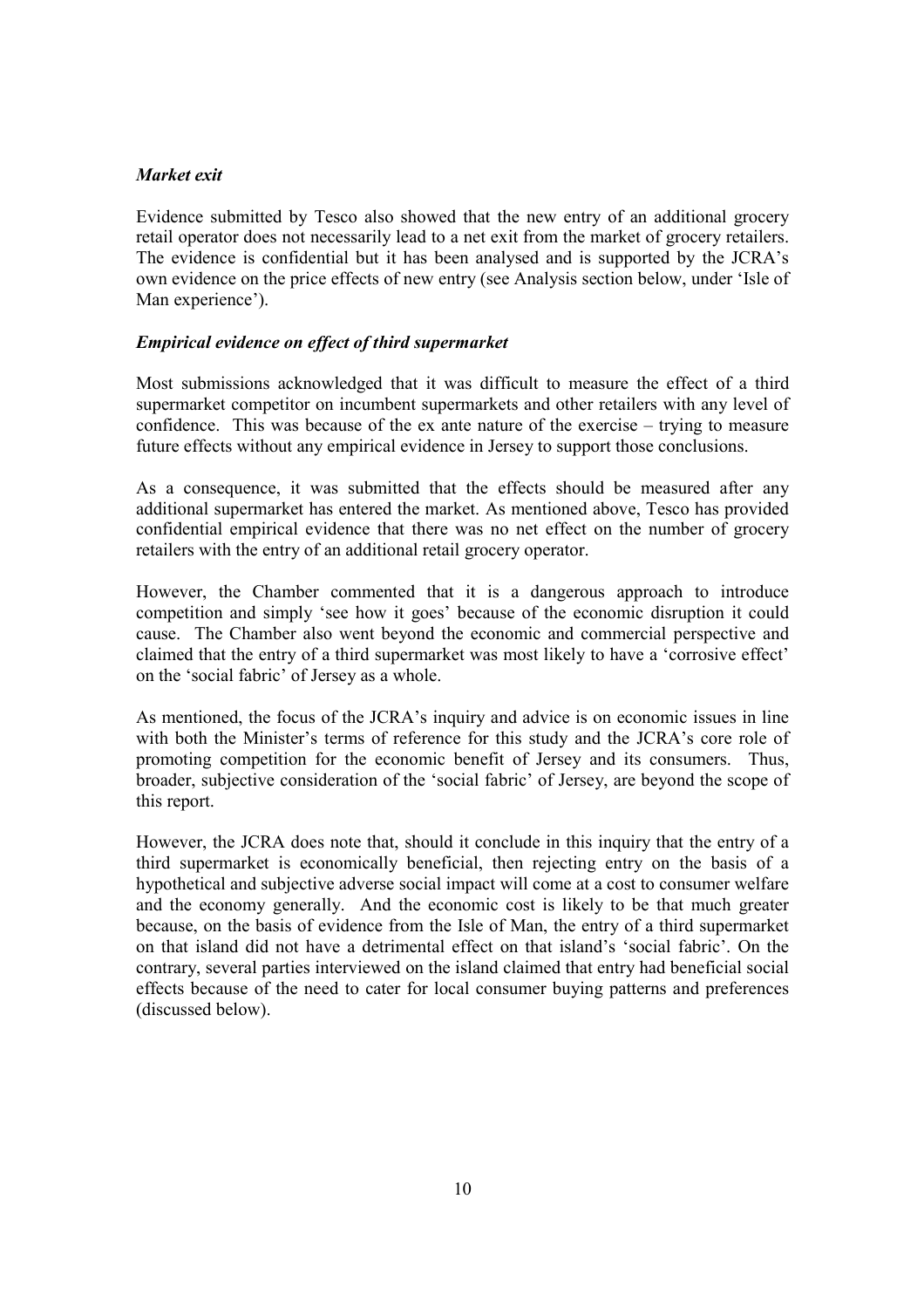#### Market exit

Evidence submitted by Tesco also showed that the new entry of an additional grocery retail operator does not necessarily lead to a net exit from the market of grocery retailers. The evidence is confidential but it has been analysed and is supported by the JCRA's own evidence on the price effects of new entry (see Analysis section below, under 'Isle of Man experience').

#### Empirical evidence on effect of third supermarket

Most submissions acknowledged that it was difficult to measure the effect of a third supermarket competitor on incumbent supermarkets and other retailers with any level of confidence. This was because of the ex ante nature of the exercise – trying to measure future effects without any empirical evidence in Jersey to support those conclusions.

As a consequence, it was submitted that the effects should be measured after any additional supermarket has entered the market. As mentioned above, Tesco has provided confidential empirical evidence that there was no net effect on the number of grocery retailers with the entry of an additional retail grocery operator.

However, the Chamber commented that it is a dangerous approach to introduce competition and simply 'see how it goes' because of the economic disruption it could cause. The Chamber also went beyond the economic and commercial perspective and claimed that the entry of a third supermarket was most likely to have a 'corrosive effect' on the 'social fabric' of Jersey as a whole.

As mentioned, the focus of the JCRA's inquiry and advice is on economic issues in line with both the Minister's terms of reference for this study and the JCRA's core role of promoting competition for the economic benefit of Jersey and its consumers. Thus, broader, subjective consideration of the 'social fabric' of Jersey, are beyond the scope of this report.

However, the JCRA does note that, should it conclude in this inquiry that the entry of a third supermarket is economically beneficial, then rejecting entry on the basis of a hypothetical and subjective adverse social impact will come at a cost to consumer welfare and the economy generally. And the economic cost is likely to be that much greater because, on the basis of evidence from the Isle of Man, the entry of a third supermarket on that island did not have a detrimental effect on that island's 'social fabric'. On the contrary, several parties interviewed on the island claimed that entry had beneficial social effects because of the need to cater for local consumer buying patterns and preferences (discussed below).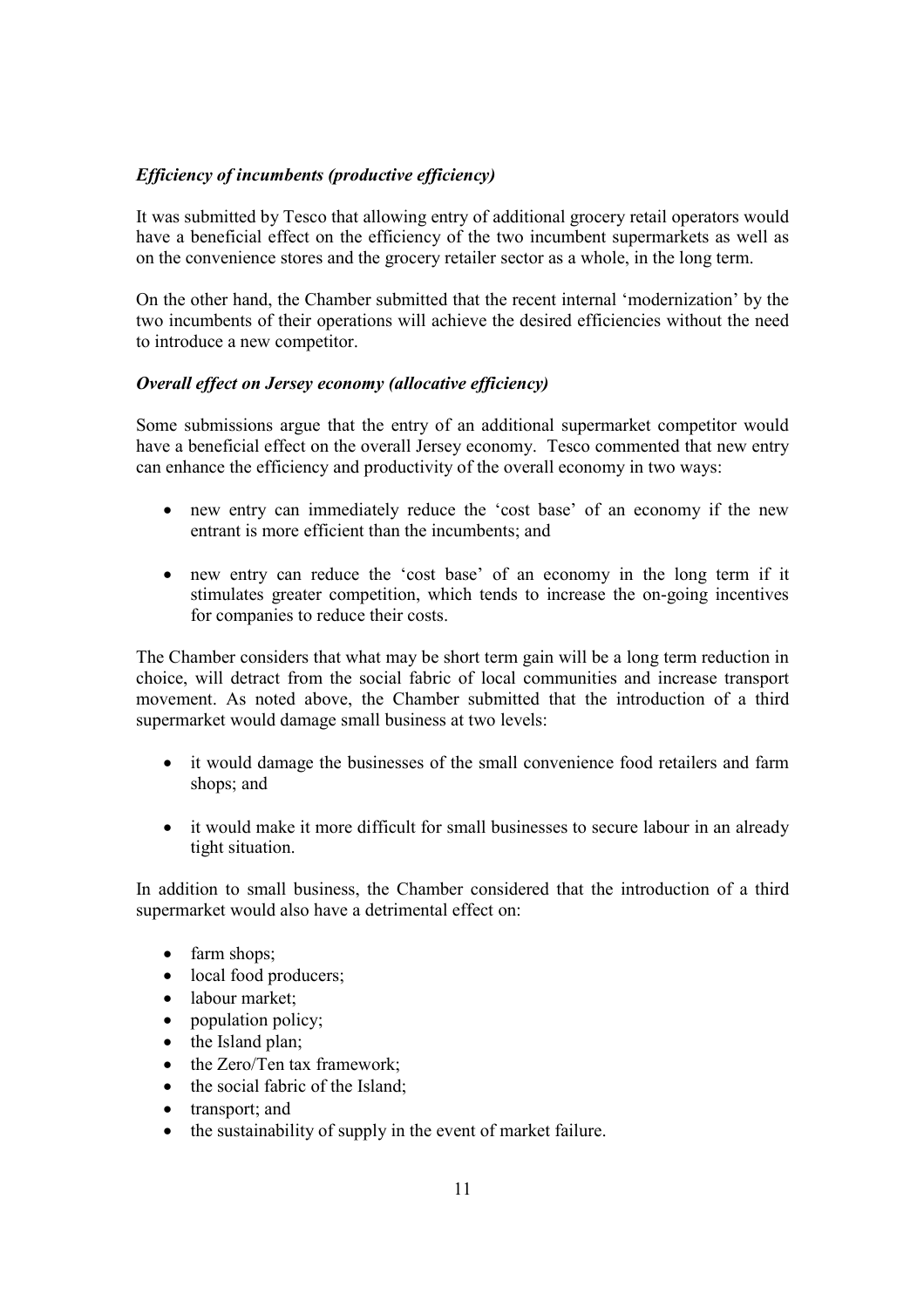# Efficiency of incumbents (productive efficiency)

It was submitted by Tesco that allowing entry of additional grocery retail operators would have a beneficial effect on the efficiency of the two incumbent supermarkets as well as on the convenience stores and the grocery retailer sector as a whole, in the long term.

On the other hand, the Chamber submitted that the recent internal 'modernization' by the two incumbents of their operations will achieve the desired efficiencies without the need to introduce a new competitor.

#### Overall effect on Jersey economy (allocative efficiency)

Some submissions argue that the entry of an additional supermarket competitor would have a beneficial effect on the overall Jersey economy. Tesco commented that new entry can enhance the efficiency and productivity of the overall economy in two ways:

- new entry can immediately reduce the 'cost base' of an economy if the new entrant is more efficient than the incumbents; and
- new entry can reduce the 'cost base' of an economy in the long term if it stimulates greater competition, which tends to increase the on-going incentives for companies to reduce their costs.

The Chamber considers that what may be short term gain will be a long term reduction in choice, will detract from the social fabric of local communities and increase transport movement. As noted above, the Chamber submitted that the introduction of a third supermarket would damage small business at two levels:

- it would damage the businesses of the small convenience food retailers and farm shops; and
- it would make it more difficult for small businesses to secure labour in an already tight situation.

In addition to small business, the Chamber considered that the introduction of a third supermarket would also have a detrimental effect on:

- farm shops;
- local food producers;
- labour market:
- population policy;
- the Island plan;
- the Zero/Ten tax framework;
- the social fabric of the Island;
- transport; and
- the sustainability of supply in the event of market failure.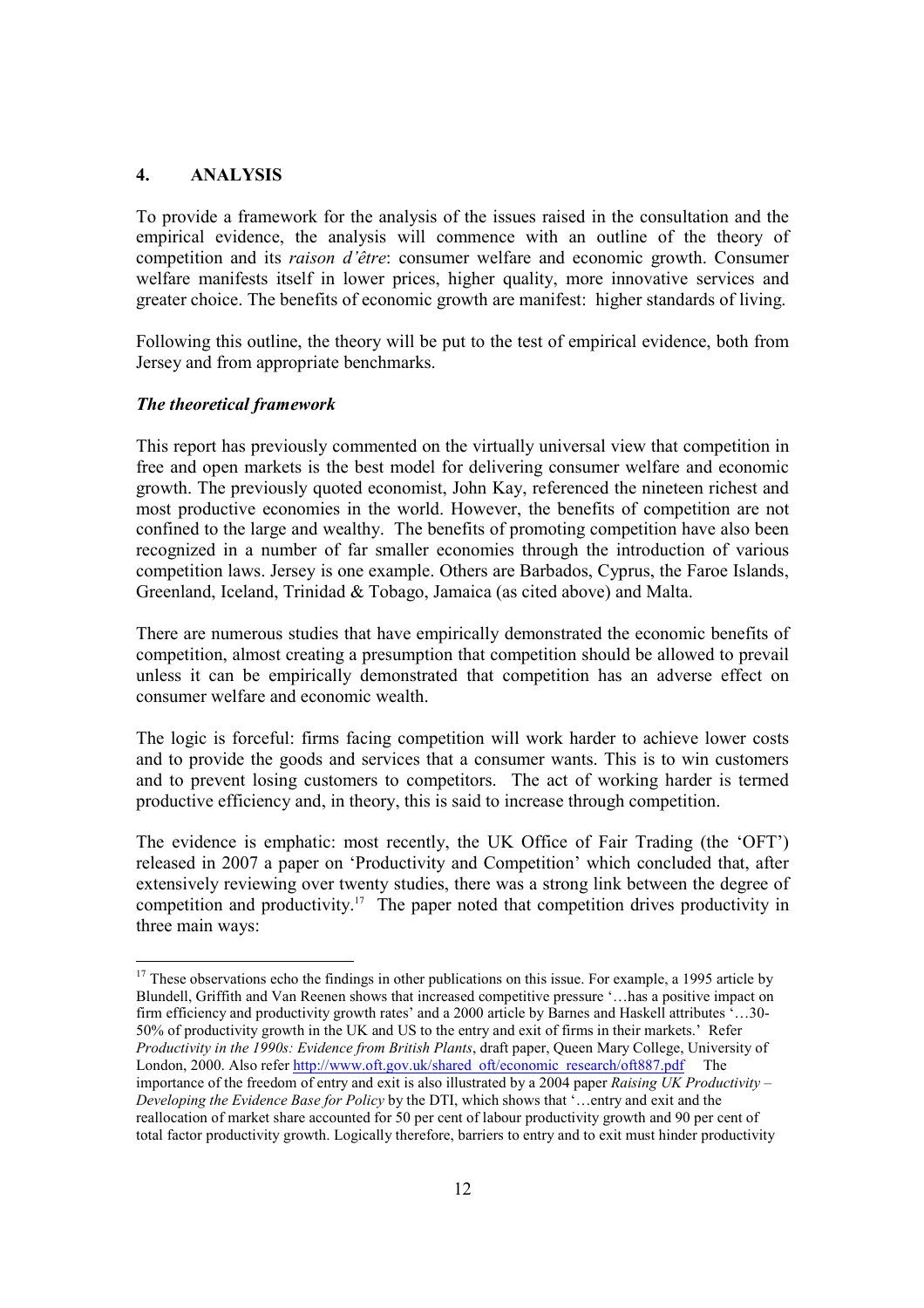#### 4. ANALYSIS

To provide a framework for the analysis of the issues raised in the consultation and the empirical evidence, the analysis will commence with an outline of the theory of competition and its raison d'être: consumer welfare and economic growth. Consumer welfare manifests itself in lower prices, higher quality, more innovative services and greater choice. The benefits of economic growth are manifest: higher standards of living.

Following this outline, the theory will be put to the test of empirical evidence, both from Jersey and from appropriate benchmarks.

#### The theoretical framework

-

This report has previously commented on the virtually universal view that competition in free and open markets is the best model for delivering consumer welfare and economic growth. The previously quoted economist, John Kay, referenced the nineteen richest and most productive economies in the world. However, the benefits of competition are not confined to the large and wealthy. The benefits of promoting competition have also been recognized in a number of far smaller economies through the introduction of various competition laws. Jersey is one example. Others are Barbados, Cyprus, the Faroe Islands, Greenland, Iceland, Trinidad & Tobago, Jamaica (as cited above) and Malta.

There are numerous studies that have empirically demonstrated the economic benefits of competition, almost creating a presumption that competition should be allowed to prevail unless it can be empirically demonstrated that competition has an adverse effect on consumer welfare and economic wealth.

The logic is forceful: firms facing competition will work harder to achieve lower costs and to provide the goods and services that a consumer wants. This is to win customers and to prevent losing customers to competitors. The act of working harder is termed productive efficiency and, in theory, this is said to increase through competition.

The evidence is emphatic: most recently, the UK Office of Fair Trading (the 'OFT') released in 2007 a paper on 'Productivity and Competition' which concluded that, after extensively reviewing over twenty studies, there was a strong link between the degree of competition and productivity.<sup>17</sup> The paper noted that competition drives productivity in three main ways:

 $17$  These observations echo the findings in other publications on this issue. For example, a 1995 article by Blundell, Griffith and Van Reenen shows that increased competitive pressure '…has a positive impact on firm efficiency and productivity growth rates' and a 2000 article by Barnes and Haskell attributes '…30- 50% of productivity growth in the UK and US to the entry and exit of firms in their markets.' Refer Productivity in the 1990s: Evidence from British Plants, draft paper, Queen Mary College, University of London, 2000. Also refer http://www.oft.gov.uk/shared\_oft/economic\_research/oft887.pdf The importance of the freedom of entry and exit is also illustrated by a 2004 paper Raising UK Productivity – Developing the Evidence Base for Policy by the DTI, which shows that '...entry and exit and the reallocation of market share accounted for 50 per cent of labour productivity growth and 90 per cent of total factor productivity growth. Logically therefore, barriers to entry and to exit must hinder productivity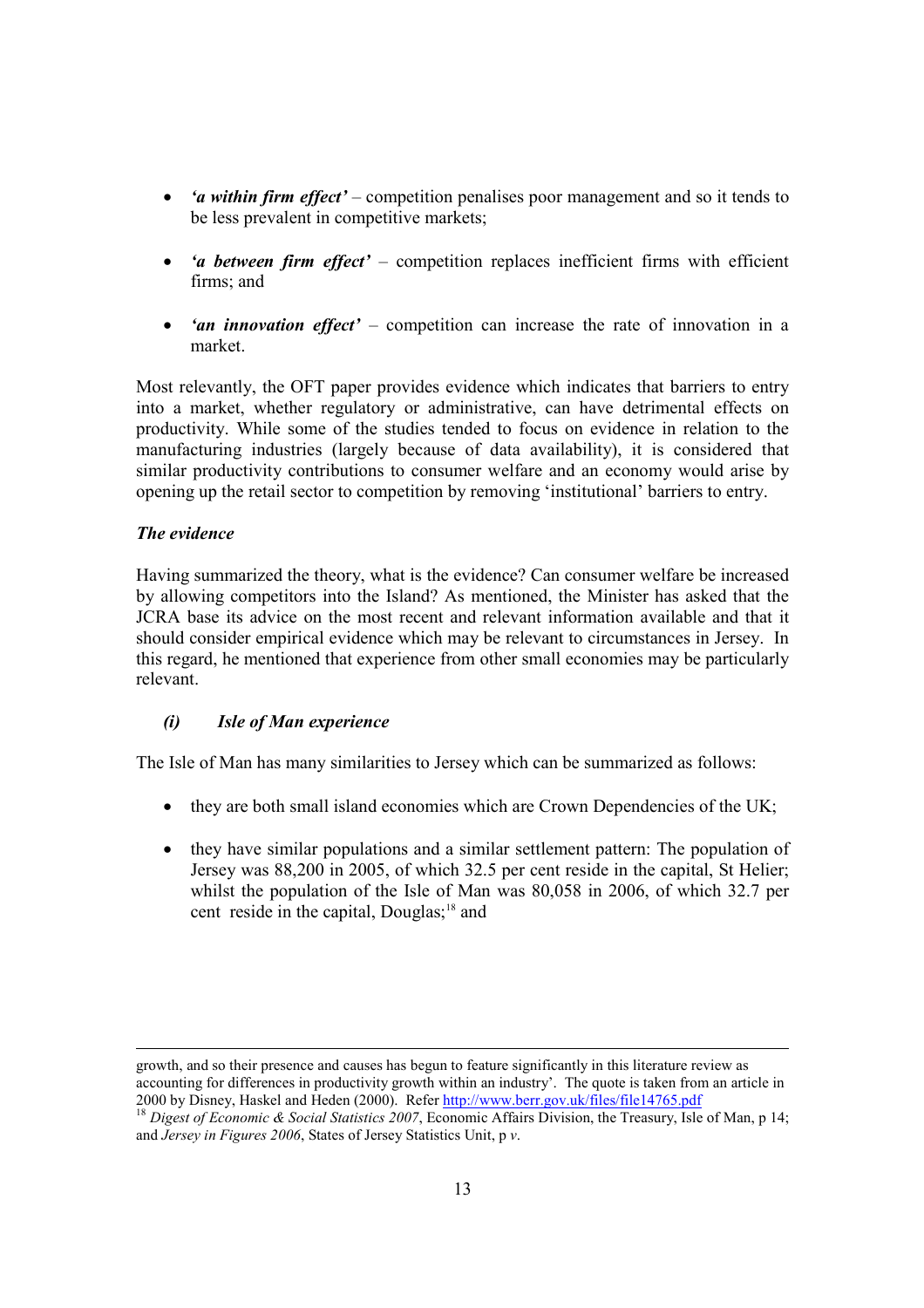- *'a within firm effect'* competition penalises poor management and so it tends to be less prevalent in competitive markets;
- *'a between firm effect'* competition replaces inefficient firms with efficient firms; and
- 'an innovation effect' competition can increase the rate of innovation in a market.

Most relevantly, the OFT paper provides evidence which indicates that barriers to entry into a market, whether regulatory or administrative, can have detrimental effects on productivity. While some of the studies tended to focus on evidence in relation to the manufacturing industries (largely because of data availability), it is considered that similar productivity contributions to consumer welfare and an economy would arise by opening up the retail sector to competition by removing 'institutional' barriers to entry.

# The evidence

Having summarized the theory, what is the evidence? Can consumer welfare be increased by allowing competitors into the Island? As mentioned, the Minister has asked that the JCRA base its advice on the most recent and relevant information available and that it should consider empirical evidence which may be relevant to circumstances in Jersey. In this regard, he mentioned that experience from other small economies may be particularly relevant.

#### (i) Isle of Man experience

The Isle of Man has many similarities to Jersey which can be summarized as follows:

- they are both small island economies which are Crown Dependencies of the UK;
- they have similar populations and a similar settlement pattern: The population of Jersey was 88,200 in 2005, of which 32.5 per cent reside in the capital, St Helier; whilst the population of the Isle of Man was 80,058 in 2006, of which 32.7 per cent reside in the capital, Douglas;<sup>18</sup> and

l growth, and so their presence and causes has begun to feature significantly in this literature review as accounting for differences in productivity growth within an industry'. The quote is taken from an article in 2000 by Disney, Haskel and Heden (2000). Refer http://www.berr.gov.uk/files/file14765.pdf

<sup>&</sup>lt;sup>18</sup> Digest of Economic & Social Statistics 2007, Economic Affairs Division, the Treasury, Isle of Man, p 14; and Jersey in Figures 2006, States of Jersey Statistics Unit, p v.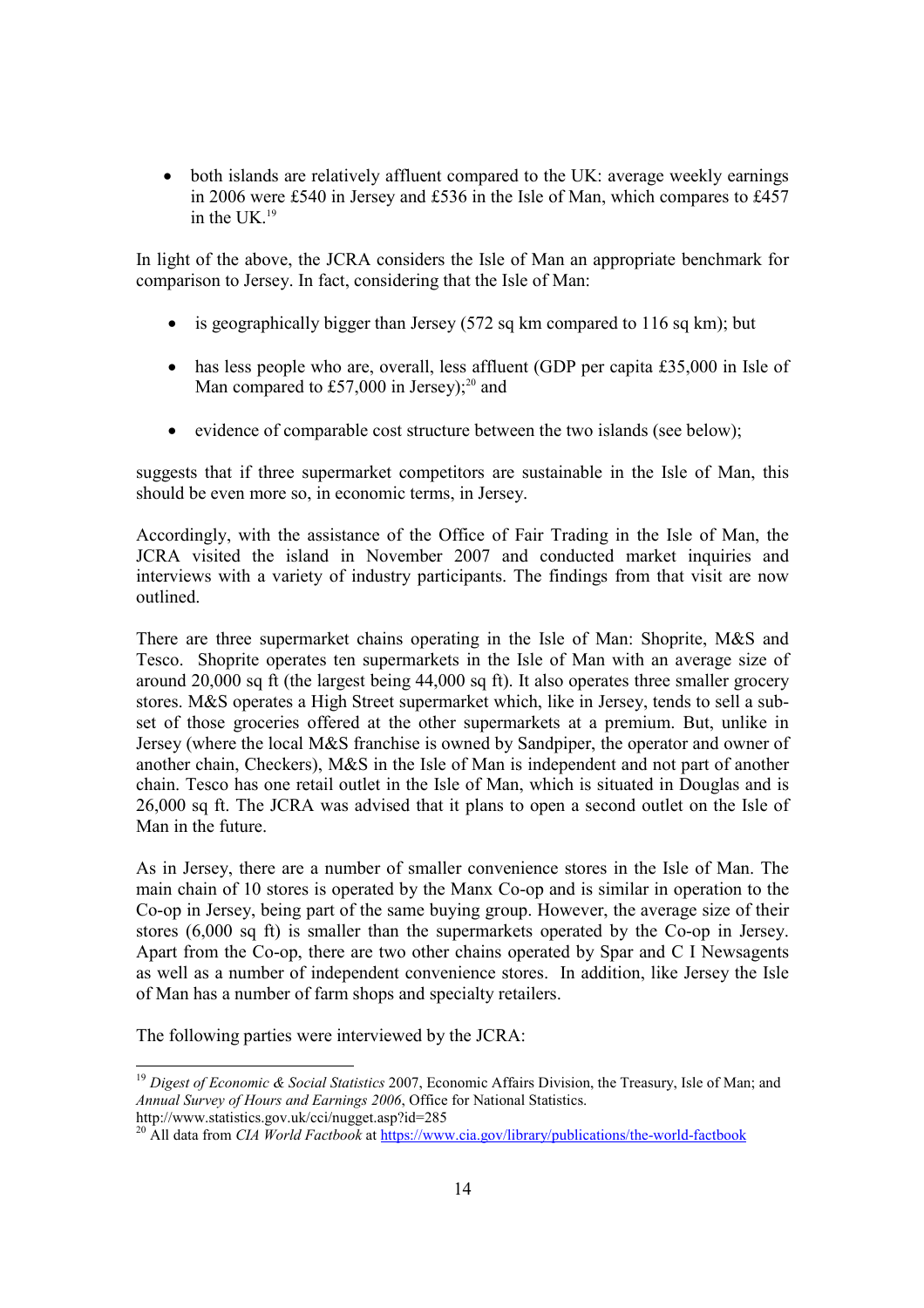• both islands are relatively affluent compared to the UK: average weekly earnings in 2006 were £540 in Jersey and £536 in the Isle of Man, which compares to £457 in the  $I$ IK $^{19}$ 

In light of the above, the JCRA considers the Isle of Man an appropriate benchmark for comparison to Jersey. In fact, considering that the Isle of Man:

- is geographically bigger than Jersey (572 sq km compared to 116 sq km); but
- has less people who are, overall, less affluent (GDP per capita £35,000 in Isle of Man compared to £57,000 in Jersey); $^{20}$  and
- evidence of comparable cost structure between the two islands (see below);

suggests that if three supermarket competitors are sustainable in the Isle of Man, this should be even more so, in economic terms, in Jersey.

Accordingly, with the assistance of the Office of Fair Trading in the Isle of Man, the JCRA visited the island in November 2007 and conducted market inquiries and interviews with a variety of industry participants. The findings from that visit are now outlined.

There are three supermarket chains operating in the Isle of Man: Shoprite, M&S and Tesco. Shoprite operates ten supermarkets in the Isle of Man with an average size of around 20,000 sq ft (the largest being 44,000 sq ft). It also operates three smaller grocery stores. M&S operates a High Street supermarket which, like in Jersey, tends to sell a subset of those groceries offered at the other supermarkets at a premium. But, unlike in Jersey (where the local M&S franchise is owned by Sandpiper, the operator and owner of another chain, Checkers), M&S in the Isle of Man is independent and not part of another chain. Tesco has one retail outlet in the Isle of Man, which is situated in Douglas and is 26,000 sq ft. The JCRA was advised that it plans to open a second outlet on the Isle of Man in the future.

As in Jersey, there are a number of smaller convenience stores in the Isle of Man. The main chain of 10 stores is operated by the Manx Co-op and is similar in operation to the Co-op in Jersey, being part of the same buying group. However, the average size of their stores (6,000 sq ft) is smaller than the supermarkets operated by the Co-op in Jersey. Apart from the Co-op, there are two other chains operated by Spar and C I Newsagents as well as a number of independent convenience stores. In addition, like Jersey the Isle of Man has a number of farm shops and specialty retailers.

The following parties were interviewed by the JCRA:

<sup>-</sup><sup>19</sup> Digest of Economic & Social Statistics 2007, Economic Affairs Division, the Treasury, Isle of Man; and Annual Survey of Hours and Earnings 2006, Office for National Statistics. http://www.statistics.gov.uk/cci/nugget.asp?id=285

<sup>&</sup>lt;sup>20</sup> All data from *CIA World Factbook* at https://www.cia.gov/library/publications/the-world-factbook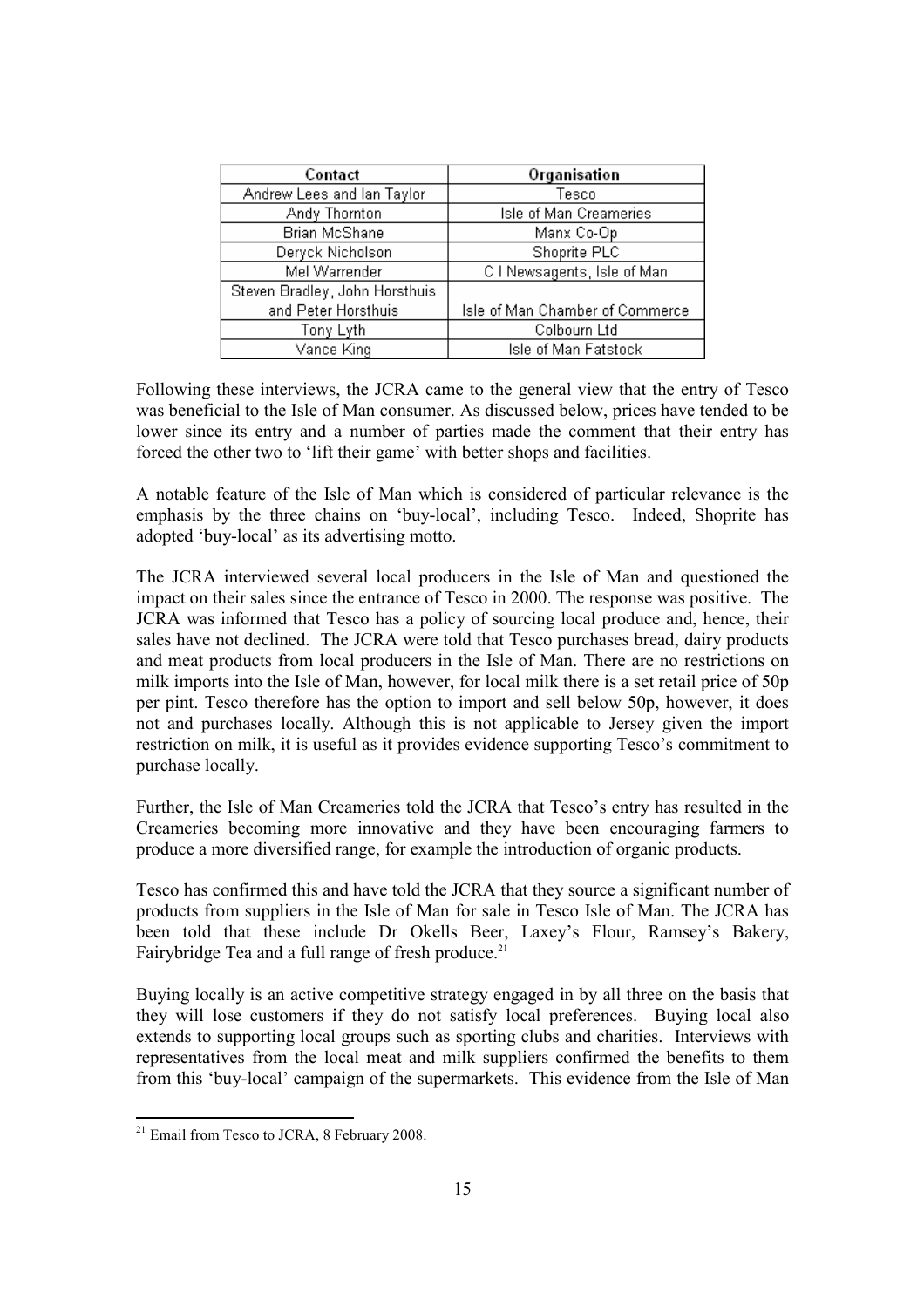| Contact                        | Organisation                    |  |
|--------------------------------|---------------------------------|--|
| Andrew Lees and Ian Taylor     | Tesco                           |  |
| Andy Thornton                  | Isle of Man Creameries          |  |
| Brian McShane                  | Manx Co-Op                      |  |
| Deryck Nicholson               | Shoprite PLC                    |  |
| Mel Warrender                  | C I Newsagents, Isle of Man     |  |
| Steven Bradley, John Horsthuis |                                 |  |
| and Peter Horsthuis            | Isle of Man Chamber of Commerce |  |
| Tony Lyth                      | Colbourn Ltd                    |  |
| Vance King                     | Isle of Man Fatstock            |  |

Following these interviews, the JCRA came to the general view that the entry of Tesco was beneficial to the Isle of Man consumer. As discussed below, prices have tended to be lower since its entry and a number of parties made the comment that their entry has forced the other two to 'lift their game' with better shops and facilities.

A notable feature of the Isle of Man which is considered of particular relevance is the emphasis by the three chains on 'buy-local', including Tesco. Indeed, Shoprite has adopted 'buy-local' as its advertising motto.

The JCRA interviewed several local producers in the Isle of Man and questioned the impact on their sales since the entrance of Tesco in 2000. The response was positive. The JCRA was informed that Tesco has a policy of sourcing local produce and, hence, their sales have not declined. The JCRA were told that Tesco purchases bread, dairy products and meat products from local producers in the Isle of Man. There are no restrictions on milk imports into the Isle of Man, however, for local milk there is a set retail price of 50p per pint. Tesco therefore has the option to import and sell below 50p, however, it does not and purchases locally. Although this is not applicable to Jersey given the import restriction on milk, it is useful as it provides evidence supporting Tesco's commitment to purchase locally.

Further, the Isle of Man Creameries told the JCRA that Tesco's entry has resulted in the Creameries becoming more innovative and they have been encouraging farmers to produce a more diversified range, for example the introduction of organic products.

Tesco has confirmed this and have told the JCRA that they source a significant number of products from suppliers in the Isle of Man for sale in Tesco Isle of Man. The JCRA has been told that these include Dr Okells Beer, Laxey's Flour, Ramsey's Bakery, Fairybridge Tea and a full range of fresh produce.<sup>21</sup>

Buying locally is an active competitive strategy engaged in by all three on the basis that they will lose customers if they do not satisfy local preferences. Buying local also extends to supporting local groups such as sporting clubs and charities. Interviews with representatives from the local meat and milk suppliers confirmed the benefits to them from this 'buy-local' campaign of the supermarkets. This evidence from the Isle of Man

 $21$  Email from Tesco to JCRA, 8 February 2008.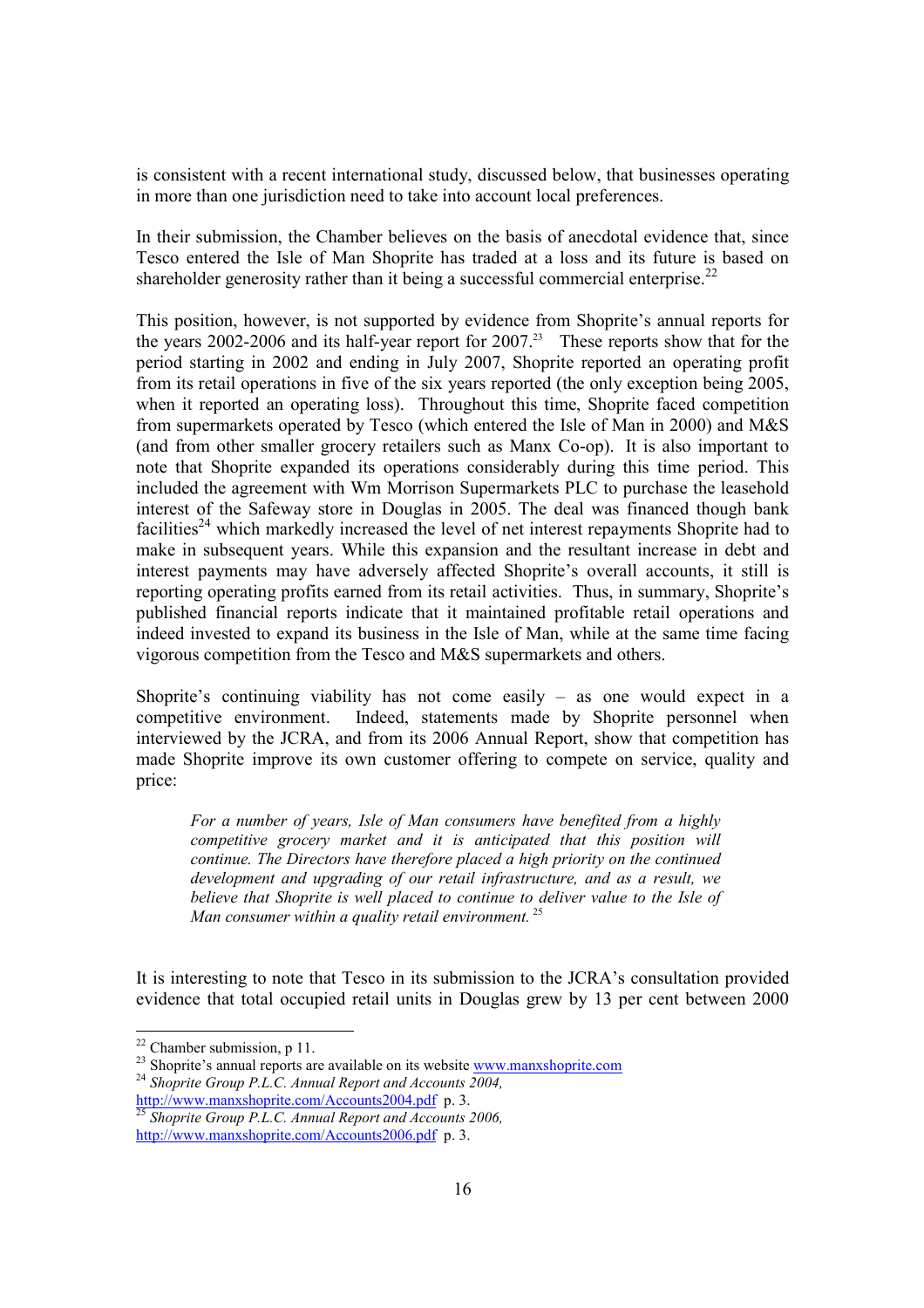is consistent with a recent international study, discussed below, that businesses operating in more than one jurisdiction need to take into account local preferences.

In their submission, the Chamber believes on the basis of anecdotal evidence that, since Tesco entered the Isle of Man Shoprite has traded at a loss and its future is based on shareholder generosity rather than it being a successful commercial enterprise.<sup>22</sup>

This position, however, is not supported by evidence from Shoprite's annual reports for the years 2002-2006 and its half-year report for  $2007<sup>23</sup>$  These reports show that for the period starting in 2002 and ending in July 2007, Shoprite reported an operating profit from its retail operations in five of the six years reported (the only exception being 2005, when it reported an operating loss). Throughout this time, Shoprite faced competition from supermarkets operated by Tesco (which entered the Isle of Man in 2000) and M&S (and from other smaller grocery retailers such as Manx Co-op). It is also important to note that Shoprite expanded its operations considerably during this time period. This included the agreement with Wm Morrison Supermarkets PLC to purchase the leasehold interest of the Safeway store in Douglas in 2005. The deal was financed though bank facilities<sup>24</sup> which markedly increased the level of net interest repayments Shoprite had to make in subsequent years. While this expansion and the resultant increase in debt and interest payments may have adversely affected Shoprite's overall accounts, it still is reporting operating profits earned from its retail activities. Thus, in summary, Shoprite's published financial reports indicate that it maintained profitable retail operations and indeed invested to expand its business in the Isle of Man, while at the same time facing vigorous competition from the Tesco and M&S supermarkets and others.

Shoprite's continuing viability has not come easily – as one would expect in a competitive environment. Indeed, statements made by Shoprite personnel when interviewed by the JCRA, and from its 2006 Annual Report, show that competition has made Shoprite improve its own customer offering to compete on service, quality and price:

For a number of years, Isle of Man consumers have benefited from a highly competitive grocery market and it is anticipated that this position will continue. The Directors have therefore placed a high priority on the continued development and upgrading of our retail infrastructure, and as a result, we believe that Shoprite is well placed to continue to deliver value to the Isle of Man consumer within a quality retail environment.  $25$ 

It is interesting to note that Tesco in its submission to the JCRA's consultation provided evidence that total occupied retail units in Douglas grew by 13 per cent between 2000

 $22$  Chamber submission, p 11.

 $23$  Shoprite's annual reports are available on its website  $\frac{www.manzshoprite.com}{...}$ 

<sup>&</sup>lt;sup>24</sup> Shoprite Group P.L.C. Annual Report and Accounts 2004, http://www.manxshoprite.com/Accounts2004.pdf p. 3.

 $^{25}$  Shoprite Group P.L.C. Annual Report and Accounts 2006, http://www.manxshoprite.com/Accounts2006.pdf p. 3.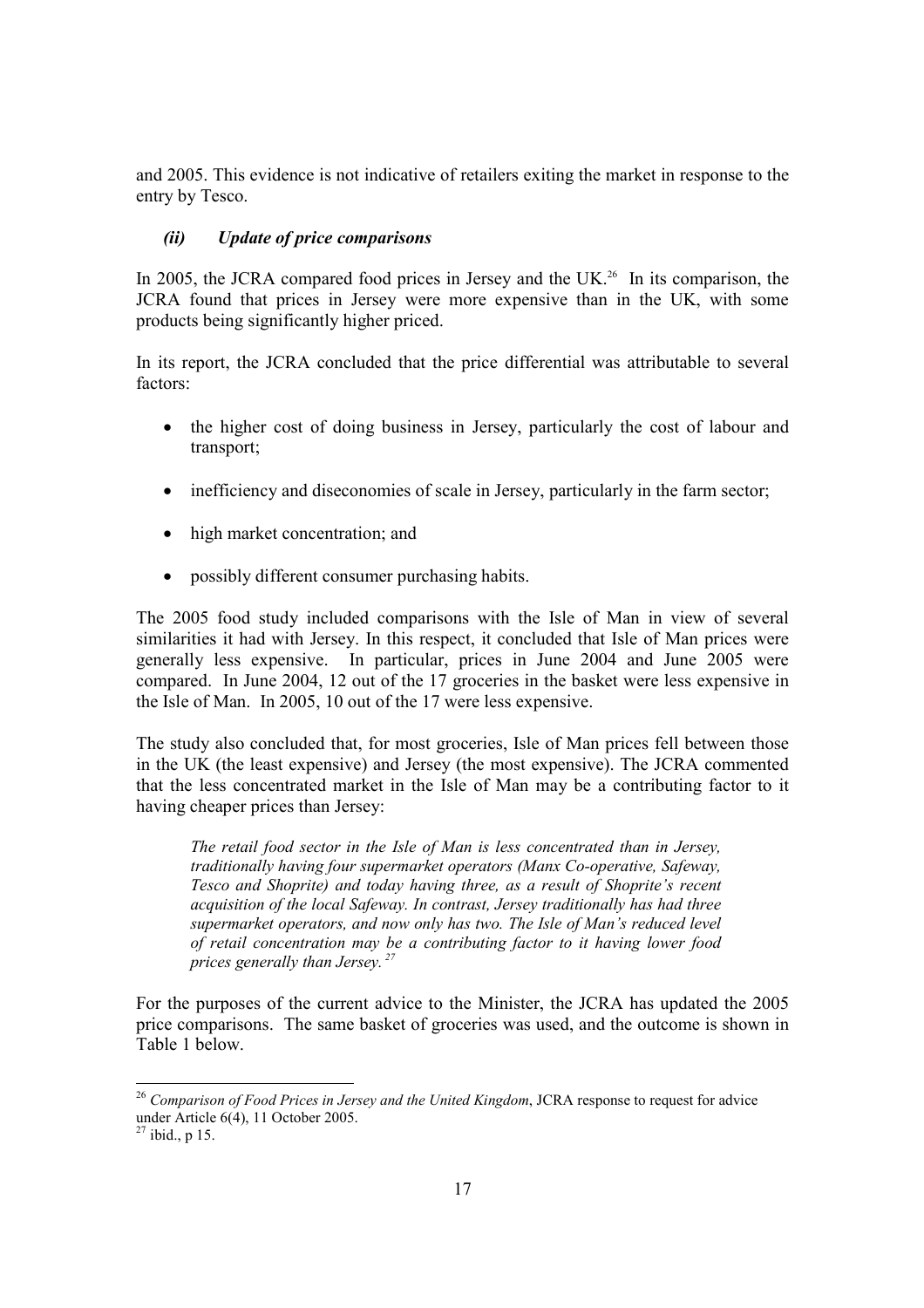and 2005. This evidence is not indicative of retailers exiting the market in response to the entry by Tesco.

### (ii) Update of price comparisons

In 2005, the JCRA compared food prices in Jersey and the UK.<sup>26</sup> In its comparison, the JCRA found that prices in Jersey were more expensive than in the UK, with some products being significantly higher priced.

In its report, the JCRA concluded that the price differential was attributable to several factors:

- the higher cost of doing business in Jersey, particularly the cost of labour and transport;
- inefficiency and diseconomies of scale in Jersey, particularly in the farm sector;
- high market concentration; and
- possibly different consumer purchasing habits.

The 2005 food study included comparisons with the Isle of Man in view of several similarities it had with Jersey. In this respect, it concluded that Isle of Man prices were generally less expensive. In particular, prices in June 2004 and June 2005 were compared. In June 2004, 12 out of the 17 groceries in the basket were less expensive in the Isle of Man. In 2005, 10 out of the 17 were less expensive.

The study also concluded that, for most groceries, Isle of Man prices fell between those in the UK (the least expensive) and Jersey (the most expensive). The JCRA commented that the less concentrated market in the Isle of Man may be a contributing factor to it having cheaper prices than Jersey:

The retail food sector in the Isle of Man is less concentrated than in Jersey, traditionally having four supermarket operators (Manx Co-operative, Safeway, Tesco and Shoprite) and today having three, as a result of Shoprite's recent acquisition of the local Safeway. In contrast, Jersey traditionally has had three supermarket operators, and now only has two. The Isle of Man's reduced level of retail concentration may be a contributing factor to it having lower food prices generally than Jersey.<sup>27</sup>

For the purposes of the current advice to the Minister, the JCRA has updated the 2005 price comparisons. The same basket of groceries was used, and the outcome is shown in Table 1 below.

 $26$  Comparison of Food Prices in Jersey and the United Kingdom, JCRA response to request for advice under Article 6(4), 11 October 2005.

 $27$  ibid., p 15.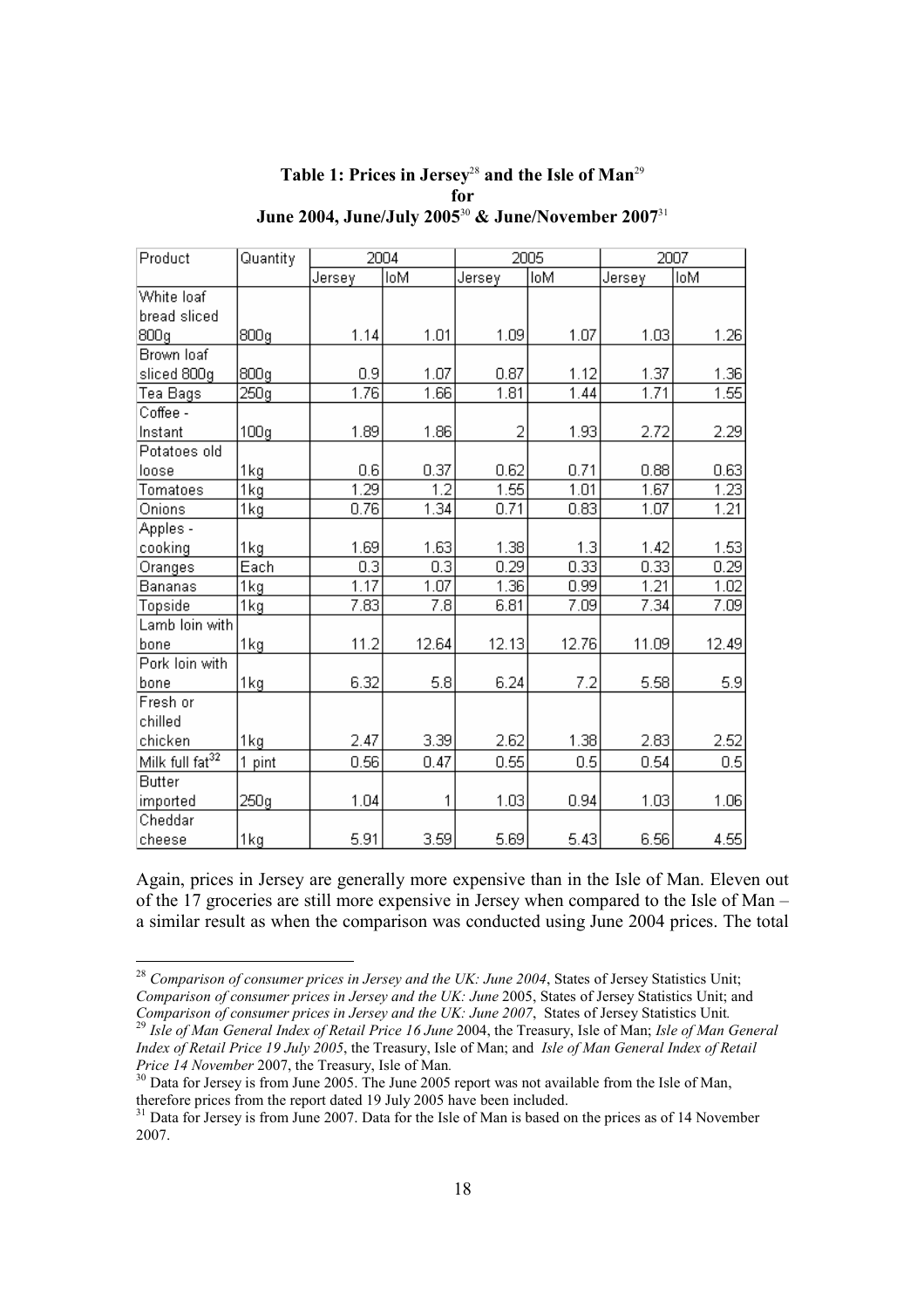| Table 1: Prices in Jersey <sup>28</sup> and the Isle of Man <sup>29</sup> |
|---------------------------------------------------------------------------|
| for                                                                       |
| June 2004, June/July 2005 $^{30}$ & June/November 2007 $^{31}$            |

| Product                     | Quantity         | 2004   |            | 2005   |            | 2007   |            |
|-----------------------------|------------------|--------|------------|--------|------------|--------|------------|
|                             |                  | Jersey | <b>IoM</b> | Jersey | <b>IoM</b> | Jersey | <b>IoM</b> |
| White loaf                  |                  |        |            |        |            |        |            |
| bread sliced                |                  |        |            |        |            |        |            |
| 800g                        | 800g             | 1.14   | 1.01       | 1.09   | 1.07       | 1.03   | 1.26       |
| Brown loaf                  |                  |        |            |        |            |        |            |
| sliced 800g                 | 800g             | 0.9    | 1.07       | 0.87   | 1.12       | 1.37   | 1.36       |
| Tea Bags                    | 250g             | 1.76   | 1.66       | 1.81   | 1.44       | 1.71   | 1.55       |
| Coffee -                    |                  |        |            |        |            |        |            |
| Instant                     | 100 <sub>g</sub> | 1.89   | 1.86       | 2      | 1.93       | 2.72   | 2.29       |
| Potatoes old                |                  |        |            |        |            |        |            |
| loose                       | 1kg              | 0.6    | 0.37       | 0.62   | 0.71       | 0.88   | 0.63       |
| Tomatoes                    | 1kg              | 1.29   | 1.2        | 1.55   | 1.01       | 1.67   | 1.23       |
| Onions                      | 1 <sub>kg</sub>  | 0.76   | 1.34       | 0.71   | 0.83       | 1.07   | 1.21       |
| Apples -                    |                  |        |            |        |            |        |            |
| cooking                     | 1kg              | 1.69   | 1.63       | 1.38   | 1.3        | 1.42   | 1.53       |
| Oranges                     | Each             | 0.3    | 0.3        | 0.29   | 0.33       | 0.33   | 0.29       |
| Bananas                     | 1kg              | 1.17   | 1.07       | 1.36   | 0.99       | 1.21   | 1.02       |
| Topside                     | 1kg              | 7.83   | 7.8        | 6.81   | 7.09       | 7.34   | 7.09       |
| Lamb loin with              |                  |        |            |        |            |        |            |
| bone                        | 1kg              | 11.2   | 12.64      | 12.13  | 12.76      | 11.09  | 12.49      |
| Pork loin with              |                  |        |            |        |            |        |            |
| bone                        | 1kg              | 6.32   | 5.8        | 6.24   | 7.2        | 5.58   | 5.9        |
| Fresh or                    |                  |        |            |        |            |        |            |
| chilled                     |                  |        |            |        |            |        |            |
| chicken                     | 1kg              | 2.47   | 3.39       | 2.62   | 1.38       | 2.83   | 2.52       |
| Milk full fat <sup>32</sup> | 1 pint           | 0.56   | 0.47       | 0.55   | 0.5        | 0.54   | 0.5        |
| <b>Butter</b>               |                  |        |            |        |            |        |            |
| imported                    | 250g             | 1.04   | 1          | 1.03   | 0.94       | 1.03   | 1.06       |
| Cheddar                     |                  |        |            |        |            |        |            |
| cheese                      | 1kg              | 5.91   | 3.59       | 5.69   | 5.43       | 6.56   | 4.55       |

Again, prices in Jersey are generally more expensive than in the Isle of Man. Eleven out of the 17 groceries are still more expensive in Jersey when compared to the Isle of Man – a similar result as when the comparison was conducted using June 2004 prices. The total

 $^{28}$  Comparison of consumer prices in Jersey and the UK: June 2004, States of Jersey Statistics Unit; Comparison of consumer prices in Jersey and the UK: June 2005, States of Jersey Statistics Unit; and Comparison of consumer prices in Jersey and the UK: June 2007, States of Jersey Statistics Unit.

 $^{29}$  Isle of Man General Index of Retail Price 16 June 2004, the Treasury, Isle of Man; Isle of Man General Index of Retail Price 19 July 2005, the Treasury, Isle of Man; and Isle of Man General Index of Retail Price 14 November 2007, the Treasury, Isle of Man.

 $30$  Data for Jersey is from June 2005. The June 2005 report was not available from the Isle of Man, therefore prices from the report dated 19 July 2005 have been included.

<sup>&</sup>lt;sup>31</sup> Data for Jersey is from June 2007. Data for the Isle of Man is based on the prices as of 14 November 2007.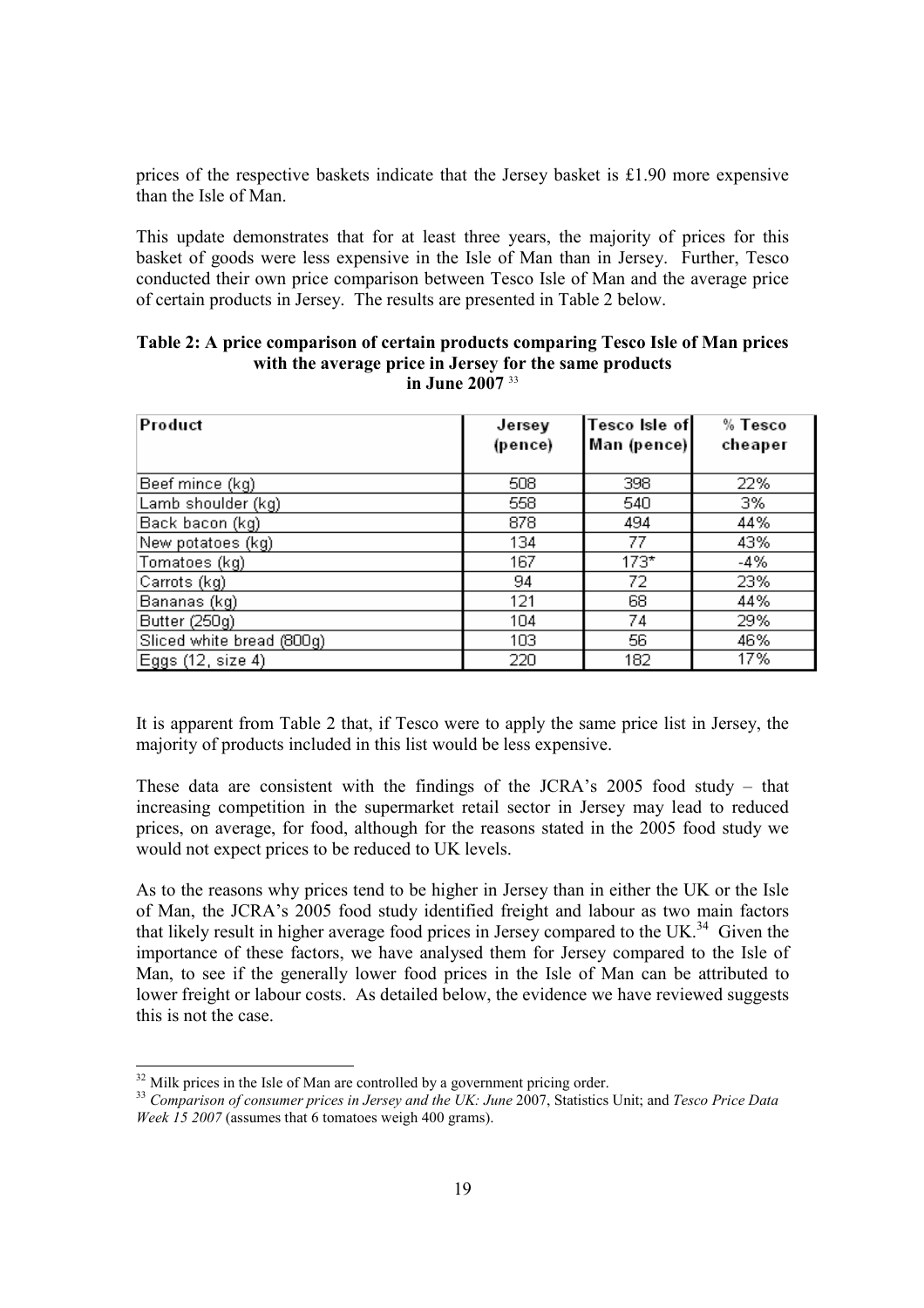prices of the respective baskets indicate that the Jersey basket is  $£1.90$  more expensive than the Isle of Man.

This update demonstrates that for at least three years, the majority of prices for this basket of goods were less expensive in the Isle of Man than in Jersey. Further, Tesco conducted their own price comparison between Tesco Isle of Man and the average price of certain products in Jersey. The results are presented in Table 2 below.

| Product                   | Jersey<br>(pence) | Tesco Isle of<br>Man (pence) | % Tesco<br>cheaper |
|---------------------------|-------------------|------------------------------|--------------------|
| Beef mince (kg)           | 508               | 398                          | 22%                |
| Lamb shoulder (kg)        | 558               | 540                          | 3%                 |
| Back bacon (kg)           | 878               | 494                          | 44%                |
| New potatoes (kg)         | 134               | 77                           | 43%                |
| Tomatoes (kg)             | 167               | $173*$                       | $-4%$              |
| Carrots (kg)              | 94                | 72                           | 23%                |
| Bananas (kg)              | 121               | 68                           | 44%                |
| Butter (250g)             | 104               | 74                           | 29%                |
| Sliced white bread (800g) | 103               | 56                           | 46%                |
| Eggs (12, size 4)         | 220               | 182                          | 17%                |

#### Table 2: A price comparison of certain products comparing Tesco Isle of Man prices with the average price in Jersey for the same products in June 2007 <sup>33</sup>

It is apparent from Table 2 that, if Tesco were to apply the same price list in Jersey, the majority of products included in this list would be less expensive.

These data are consistent with the findings of the JCRA's 2005 food study – that increasing competition in the supermarket retail sector in Jersey may lead to reduced prices, on average, for food, although for the reasons stated in the 2005 food study we would not expect prices to be reduced to UK levels.

As to the reasons why prices tend to be higher in Jersey than in either the UK or the Isle of Man, the JCRA's 2005 food study identified freight and labour as two main factors that likely result in higher average food prices in Jersey compared to the UK.<sup>34</sup> Given the importance of these factors, we have analysed them for Jersey compared to the Isle of Man, to see if the generally lower food prices in the Isle of Man can be attributed to lower freight or labour costs. As detailed below, the evidence we have reviewed suggests this is not the case.

 $32$  Milk prices in the Isle of Man are controlled by a government pricing order.

<sup>&</sup>lt;sup>33</sup> Comparison of consumer prices in Jersey and the UK: June 2007, Statistics Unit; and Tesco Price Data Week 15 2007 (assumes that 6 tomatoes weigh 400 grams).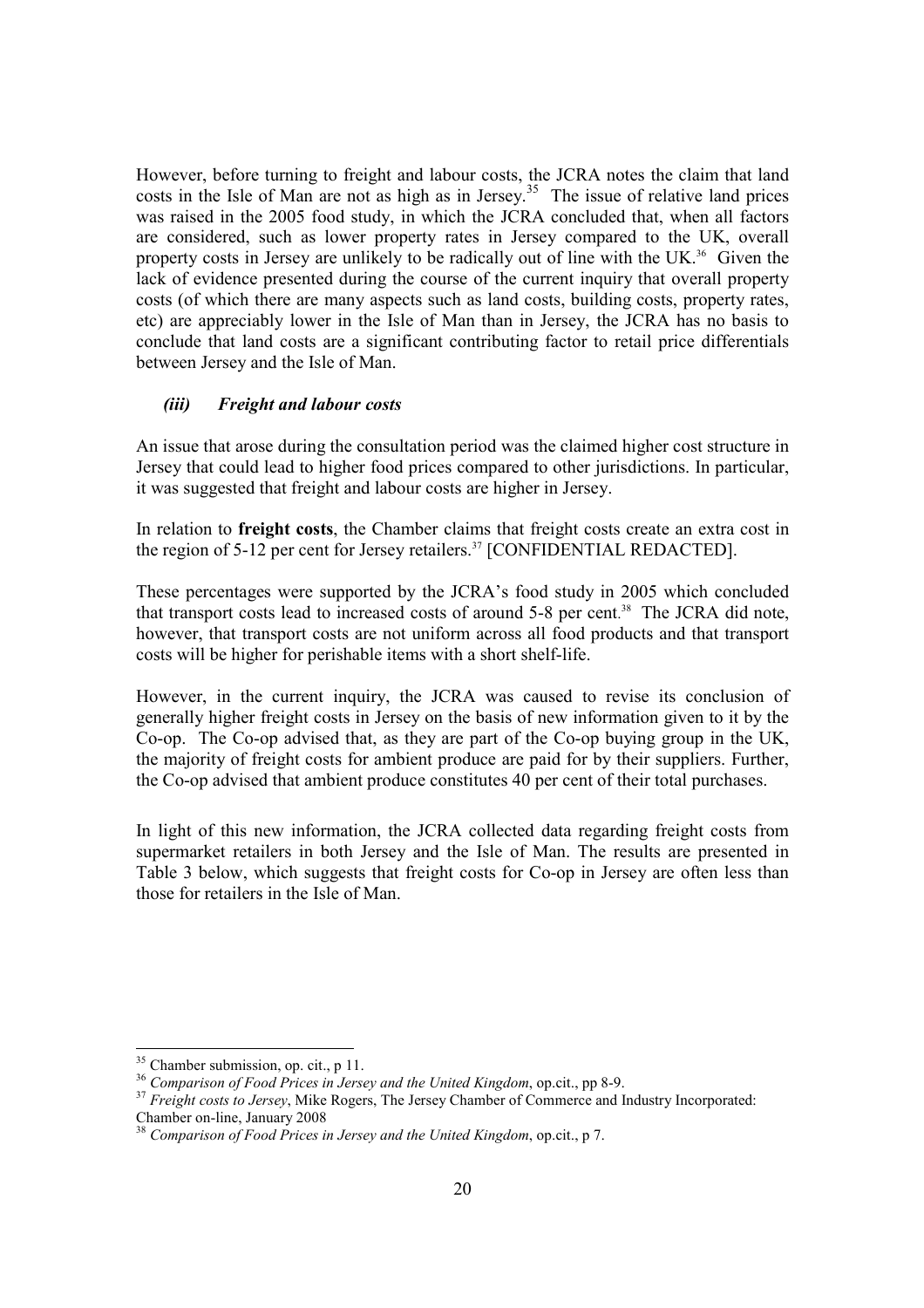However, before turning to freight and labour costs, the JCRA notes the claim that land costs in the Isle of Man are not as high as in Jersey.<sup>35</sup> The issue of relative land prices was raised in the 2005 food study, in which the JCRA concluded that, when all factors are considered, such as lower property rates in Jersey compared to the UK, overall property costs in Jersey are unlikely to be radically out of line with the UK.<sup>36</sup> Given the lack of evidence presented during the course of the current inquiry that overall property costs (of which there are many aspects such as land costs, building costs, property rates, etc) are appreciably lower in the Isle of Man than in Jersey, the JCRA has no basis to conclude that land costs are a significant contributing factor to retail price differentials between Jersey and the Isle of Man.

#### (iii) Freight and labour costs

An issue that arose during the consultation period was the claimed higher cost structure in Jersey that could lead to higher food prices compared to other jurisdictions. In particular, it was suggested that freight and labour costs are higher in Jersey.

In relation to freight costs, the Chamber claims that freight costs create an extra cost in the region of 5-12 per cent for Jersey retailers.<sup>37</sup> [CONFIDENTIAL REDACTED].

These percentages were supported by the JCRA's food study in 2005 which concluded that transport costs lead to increased costs of around 5-8 per cent. 38 The JCRA did note, however, that transport costs are not uniform across all food products and that transport costs will be higher for perishable items with a short shelf-life.

However, in the current inquiry, the JCRA was caused to revise its conclusion of generally higher freight costs in Jersey on the basis of new information given to it by the Co-op. The Co-op advised that, as they are part of the Co-op buying group in the UK, the majority of freight costs for ambient produce are paid for by their suppliers. Further, the Co-op advised that ambient produce constitutes 40 per cent of their total purchases.

In light of this new information, the JCRA collected data regarding freight costs from supermarket retailers in both Jersey and the Isle of Man. The results are presented in Table 3 below, which suggests that freight costs for Co-op in Jersey are often less than those for retailers in the Isle of Man.

<sup>&</sup>lt;sup>35</sup> Chamber submission, op. cit., p 11.

 $36$  Comparison of Food Prices in Jersey and the United Kingdom, op.cit., pp 8-9.

<sup>&</sup>lt;sup>37</sup> Freight costs to Jersey, Mike Rogers, The Jersey Chamber of Commerce and Industry Incorporated: Chamber on-line, January 2008

 $38$  Comparison of Food Prices in Jersey and the United Kingdom, op.cit., p 7.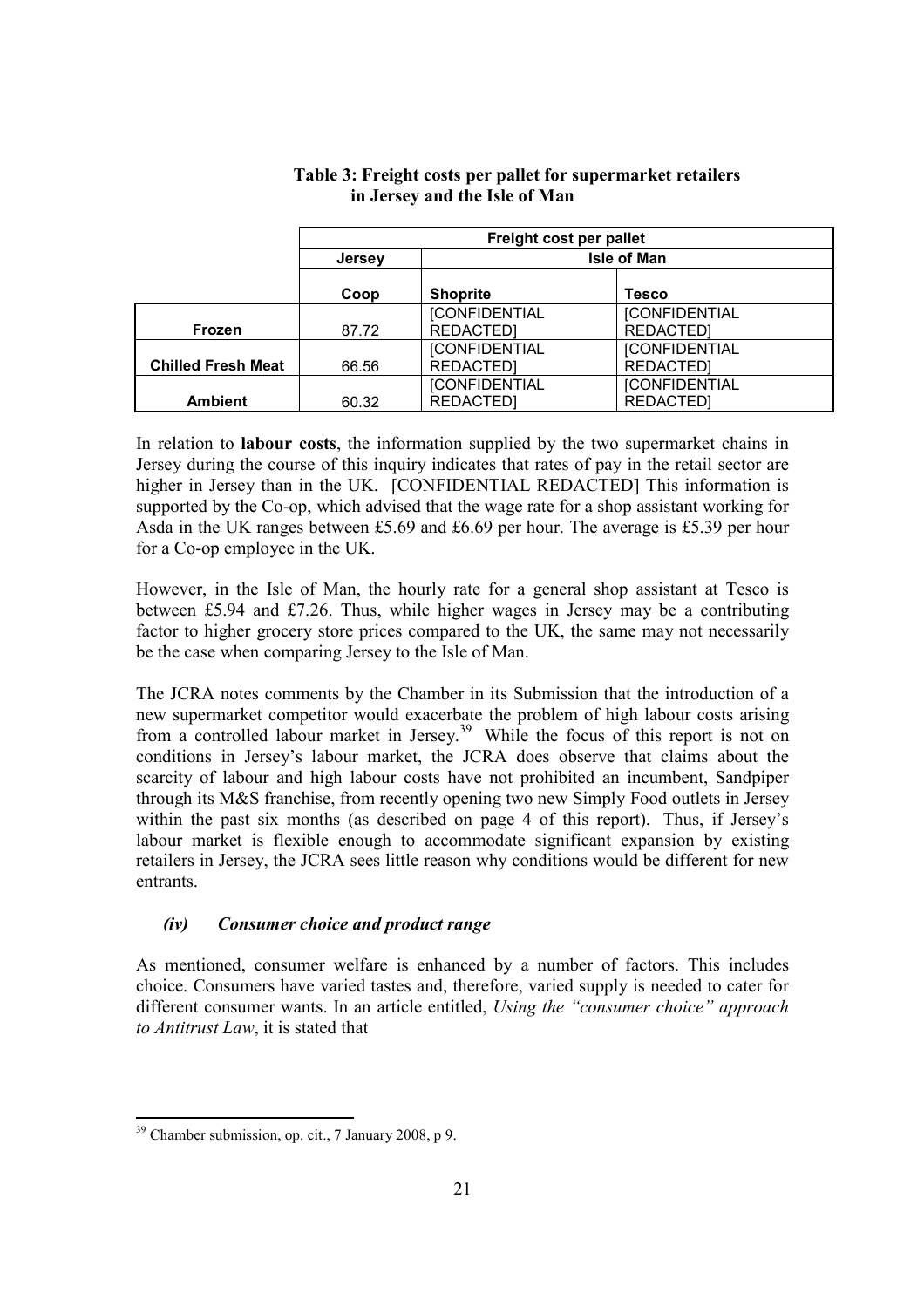|                           | Freight cost per pallet |                                          |                                          |  |
|---------------------------|-------------------------|------------------------------------------|------------------------------------------|--|
|                           | <b>Jersey</b>           | <b>Isle of Man</b>                       |                                          |  |
|                           | Coop                    | <b>Shoprite</b>                          | Tesco                                    |  |
| <b>Frozen</b>             | 87.72                   | <b>[CONFIDENTIAL</b><br>REDACTED]        | <b>[CONFIDENTIAL</b><br><b>REDACTEDI</b> |  |
| <b>Chilled Fresh Meat</b> | 66.56                   | <b>[CONFIDENTIAL</b><br><b>REDACTED]</b> | <b>[CONFIDENTIAL</b><br><b>REDACTED]</b> |  |
| <b>Ambient</b>            | 60.32                   | <b>[CONFIDENTIAL</b><br>REDACTED]        | <b>[CONFIDENTIAL</b><br><b>REDACTEDI</b> |  |

#### Table 3: Freight costs per pallet for supermarket retailers in Jersey and the Isle of Man

In relation to labour costs, the information supplied by the two supermarket chains in Jersey during the course of this inquiry indicates that rates of pay in the retail sector are higher in Jersey than in the UK. [CONFIDENTIAL REDACTED] This information is supported by the Co-op, which advised that the wage rate for a shop assistant working for Asda in the UK ranges between £5.69 and £6.69 per hour. The average is £5.39 per hour for a Co-op employee in the UK.

However, in the Isle of Man, the hourly rate for a general shop assistant at Tesco is between £5.94 and £7.26. Thus, while higher wages in Jersey may be a contributing factor to higher grocery store prices compared to the UK, the same may not necessarily be the case when comparing Jersey to the Isle of Man.

The JCRA notes comments by the Chamber in its Submission that the introduction of a new supermarket competitor would exacerbate the problem of high labour costs arising from a controlled labour market in Jersey.<sup>39</sup> While the focus of this report is not on conditions in Jersey's labour market, the JCRA does observe that claims about the scarcity of labour and high labour costs have not prohibited an incumbent, Sandpiper through its M&S franchise, from recently opening two new Simply Food outlets in Jersey within the past six months (as described on page 4 of this report). Thus, if Jersey's labour market is flexible enough to accommodate significant expansion by existing retailers in Jersey, the JCRA sees little reason why conditions would be different for new entrants.

# (iv) Consumer choice and product range

As mentioned, consumer welfare is enhanced by a number of factors. This includes choice. Consumers have varied tastes and, therefore, varied supply is needed to cater for different consumer wants. In an article entitled, Using the "consumer choice" approach to Antitrust Law, it is stated that

<sup>-</sup> $39$  Chamber submission, op. cit., 7 January 2008, p 9.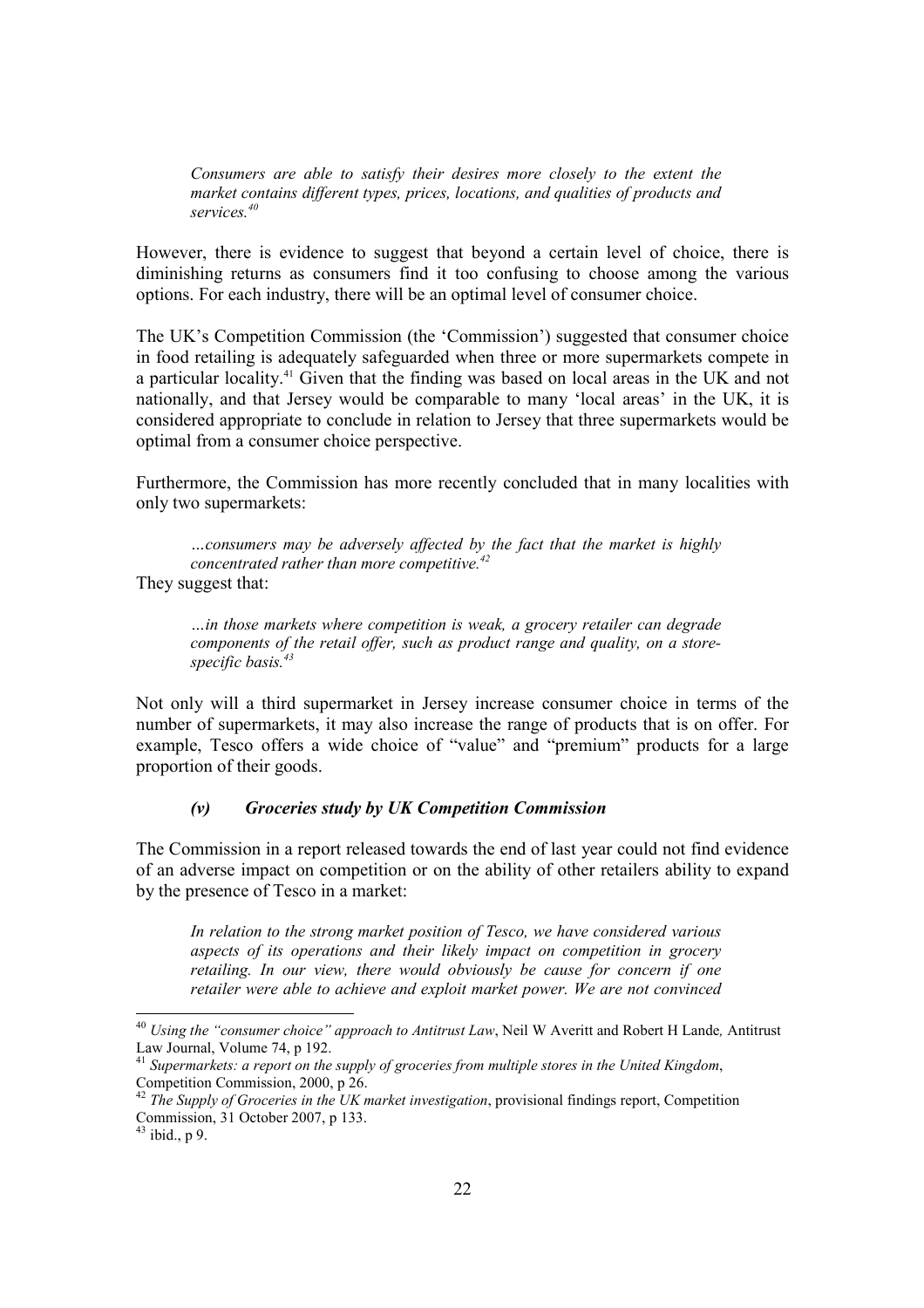Consumers are able to satisfy their desires more closely to the extent the market contains different types, prices, locations, and qualities of products and services.<sup>40</sup>

However, there is evidence to suggest that beyond a certain level of choice, there is diminishing returns as consumers find it too confusing to choose among the various options. For each industry, there will be an optimal level of consumer choice.

The UK's Competition Commission (the 'Commission') suggested that consumer choice in food retailing is adequately safeguarded when three or more supermarkets compete in a particular locality.<sup>41</sup> Given that the finding was based on local areas in the UK and not nationally, and that Jersey would be comparable to many 'local areas' in the UK, it is considered appropriate to conclude in relation to Jersey that three supermarkets would be optimal from a consumer choice perspective.

Furthermore, the Commission has more recently concluded that in many localities with only two supermarkets:

…consumers may be adversely affected by the fact that the market is highly concentrated rather than more competitive.<sup>42</sup> They suggest that:

…in those markets where competition is weak, a grocery retailer can degrade components of the retail offer, such as product range and quality, on a storespecific basis. $43$ 

Not only will a third supermarket in Jersey increase consumer choice in terms of the number of supermarkets, it may also increase the range of products that is on offer. For example, Tesco offers a wide choice of "value" and "premium" products for a large proportion of their goods.

#### (v) Groceries study by UK Competition Commission

The Commission in a report released towards the end of last year could not find evidence of an adverse impact on competition or on the ability of other retailers ability to expand by the presence of Tesco in a market:

In relation to the strong market position of Tesco, we have considered various aspects of its operations and their likely impact on competition in grocery retailing. In our view, there would obviously be cause for concern if one retailer were able to achieve and exploit market power. We are not convinced

<sup>&</sup>lt;sup>40</sup> Using the "consumer choice" approach to Antitrust Law, Neil W Averitt and Robert H Lande, Antitrust Law Journal, Volume 74, p 192.

 $41$  Supermarkets: a report on the supply of groceries from multiple stores in the United Kingdom, Competition Commission, 2000, p 26.

 $^{42}$  The Supply of Groceries in the UK market investigation, provisional findings report, Competition Commission, 31 October 2007, p 133.

 $43$  ibid., p 9.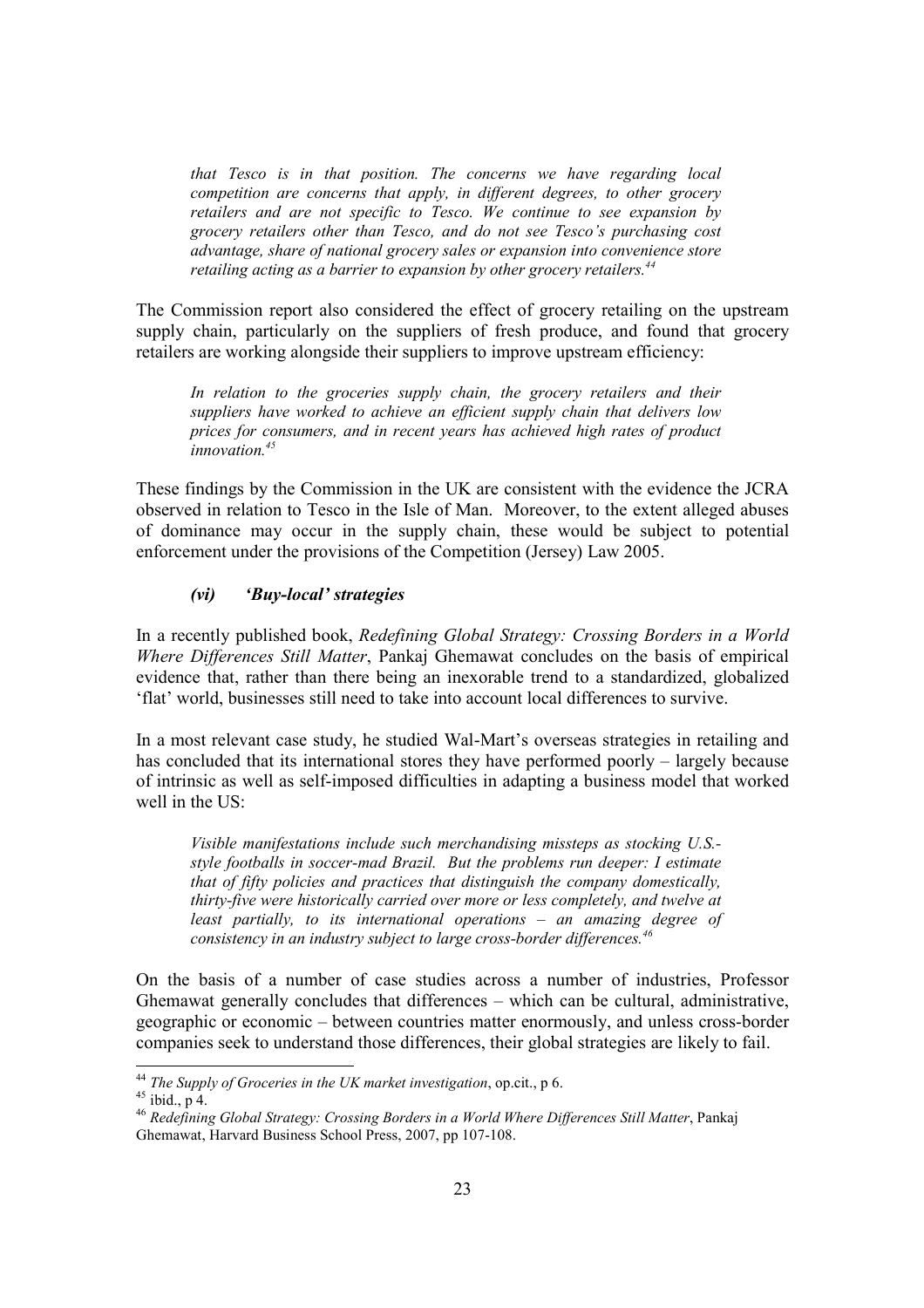that Tesco is in that position. The concerns we have regarding local competition are concerns that apply, in different degrees, to other grocery retailers and are not specific to Tesco. We continue to see expansion by grocery retailers other than Tesco, and do not see Tesco's purchasing cost advantage, share of national grocery sales or expansion into convenience store retailing acting as a barrier to expansion by other grocery retailers. $^{44}$ 

The Commission report also considered the effect of grocery retailing on the upstream supply chain, particularly on the suppliers of fresh produce, and found that grocery retailers are working alongside their suppliers to improve upstream efficiency:

In relation to the groceries supply chain, the grocery retailers and their suppliers have worked to achieve an efficient supply chain that delivers low prices for consumers, and in recent years has achieved high rates of product  $\sum_{i=1}^{\infty}$ innovation<sup>45</sup>

These findings by the Commission in the UK are consistent with the evidence the JCRA observed in relation to Tesco in the Isle of Man. Moreover, to the extent alleged abuses of dominance may occur in the supply chain, these would be subject to potential enforcement under the provisions of the Competition (Jersey) Law 2005.

#### (vi) 'Buy-local' strategies

In a recently published book, Redefining Global Strategy: Crossing Borders in a World Where Differences Still Matter, Pankaj Ghemawat concludes on the basis of empirical evidence that, rather than there being an inexorable trend to a standardized, globalized 'flat' world, businesses still need to take into account local differences to survive.

In a most relevant case study, he studied Wal-Mart's overseas strategies in retailing and has concluded that its international stores they have performed poorly – largely because of intrinsic as well as self-imposed difficulties in adapting a business model that worked well in the US:

Visible manifestations include such merchandising missteps as stocking U.S. style footballs in soccer-mad Brazil. But the problems run deeper: I estimate that of fifty policies and practices that distinguish the company domestically, thirty-five were historically carried over more or less completely, and twelve at least partially, to its international operations – an amazing degree of consistency in an industry subject to large cross-border differences. $46$ 

On the basis of a number of case studies across a number of industries, Professor Ghemawat generally concludes that differences – which can be cultural, administrative, geographic or economic – between countries matter enormously, and unless cross-border companies seek to understand those differences, their global strategies are likely to fail.

<sup>&</sup>lt;sup>44</sup> The Supply of Groceries in the UK market investigation, op.cit., p 6.

 $45$  ibid., p 4.

<sup>46</sup> Redefining Global Strategy: Crossing Borders in a World Where Differences Still Matter, Pankaj Ghemawat, Harvard Business School Press, 2007, pp 107-108.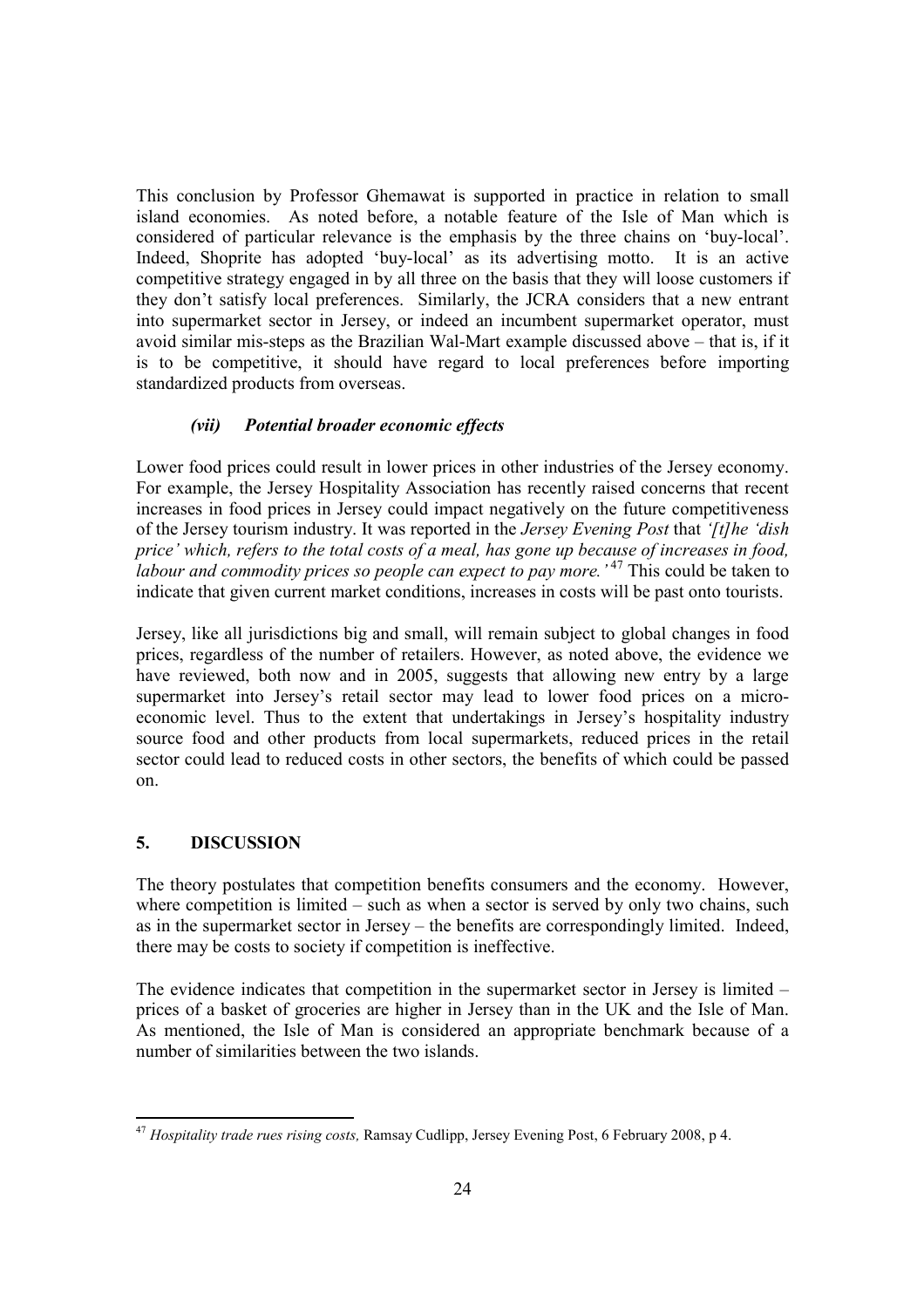This conclusion by Professor Ghemawat is supported in practice in relation to small island economies. As noted before, a notable feature of the Isle of Man which is considered of particular relevance is the emphasis by the three chains on 'buy-local'. Indeed, Shoprite has adopted 'buy-local' as its advertising motto. It is an active competitive strategy engaged in by all three on the basis that they will loose customers if they don't satisfy local preferences. Similarly, the JCRA considers that a new entrant into supermarket sector in Jersey, or indeed an incumbent supermarket operator, must avoid similar mis-steps as the Brazilian Wal-Mart example discussed above – that is, if it is to be competitive, it should have regard to local preferences before importing standardized products from overseas.

# (vii) Potential broader economic effects

Lower food prices could result in lower prices in other industries of the Jersey economy. For example, the Jersey Hospitality Association has recently raised concerns that recent increases in food prices in Jersey could impact negatively on the future competitiveness of the Jersey tourism industry. It was reported in the Jersey Evening Post that '[t]he 'dish price' which, refers to the total costs of a meal, has gone up because of increases in food, labour and commodity prices so people can expect to pay more.<sup>47</sup> This could be taken to indicate that given current market conditions, increases in costs will be past onto tourists.

Jersey, like all jurisdictions big and small, will remain subject to global changes in food prices, regardless of the number of retailers. However, as noted above, the evidence we have reviewed, both now and in 2005, suggests that allowing new entry by a large supermarket into Jersey's retail sector may lead to lower food prices on a microeconomic level. Thus to the extent that undertakings in Jersey's hospitality industry source food and other products from local supermarkets, reduced prices in the retail sector could lead to reduced costs in other sectors, the benefits of which could be passed on.

# 5. DISCUSSION

The theory postulates that competition benefits consumers and the economy. However, where competition is limited – such as when a sector is served by only two chains, such as in the supermarket sector in Jersey – the benefits are correspondingly limited. Indeed, there may be costs to society if competition is ineffective.

The evidence indicates that competition in the supermarket sector in Jersey is limited – prices of a basket of groceries are higher in Jersey than in the UK and the Isle of Man. As mentioned, the Isle of Man is considered an appropriate benchmark because of a number of similarities between the two islands.

<sup>-</sup> $^{47}$  Hospitality trade rues rising costs, Ramsay Cudlipp, Jersey Evening Post, 6 February 2008, p 4.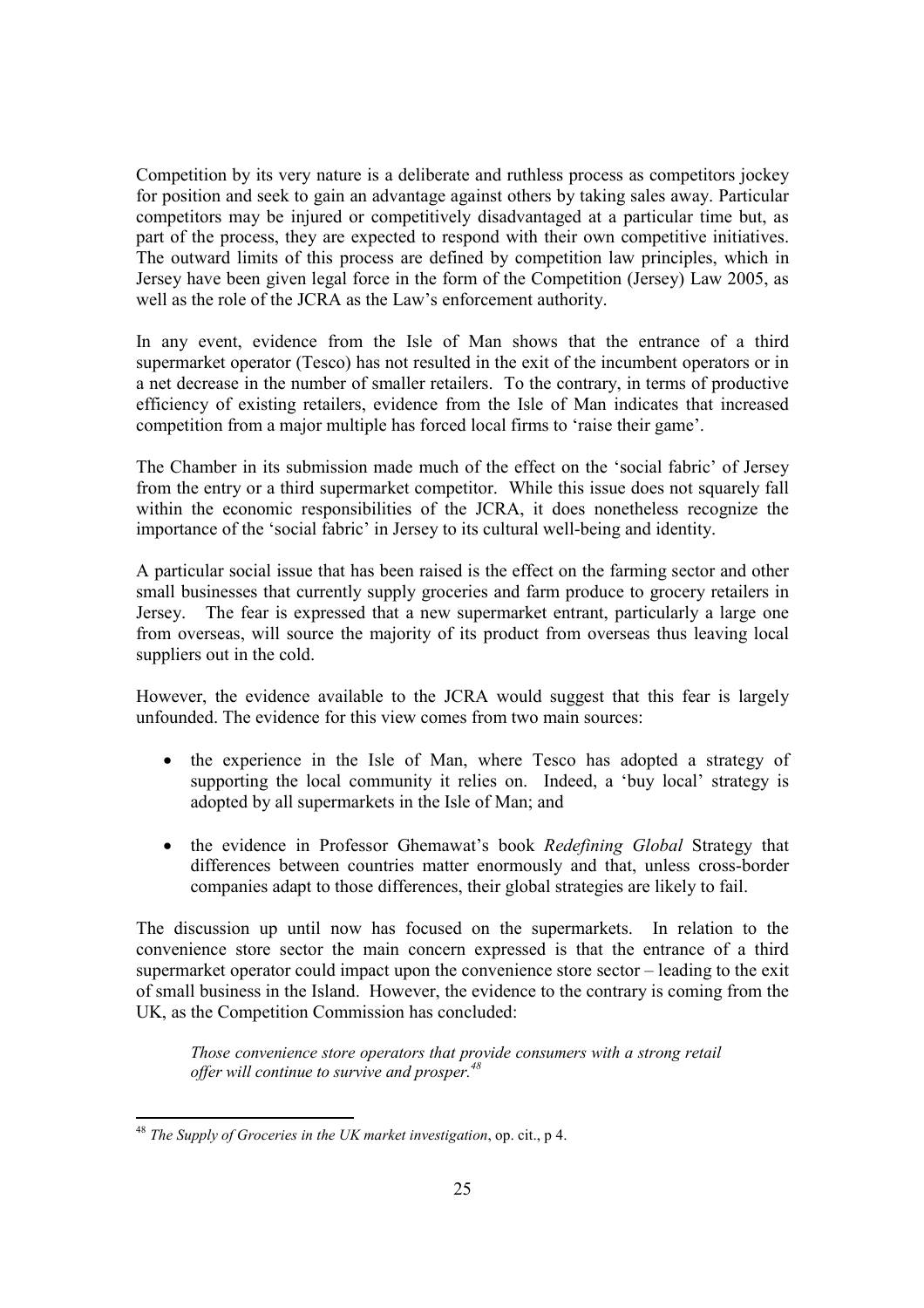Competition by its very nature is a deliberate and ruthless process as competitors jockey for position and seek to gain an advantage against others by taking sales away. Particular competitors may be injured or competitively disadvantaged at a particular time but, as part of the process, they are expected to respond with their own competitive initiatives. The outward limits of this process are defined by competition law principles, which in Jersey have been given legal force in the form of the Competition (Jersey) Law 2005, as well as the role of the JCRA as the Law's enforcement authority.

In any event, evidence from the Isle of Man shows that the entrance of a third supermarket operator (Tesco) has not resulted in the exit of the incumbent operators or in a net decrease in the number of smaller retailers. To the contrary, in terms of productive efficiency of existing retailers, evidence from the Isle of Man indicates that increased competition from a major multiple has forced local firms to 'raise their game'.

The Chamber in its submission made much of the effect on the 'social fabric' of Jersey from the entry or a third supermarket competitor. While this issue does not squarely fall within the economic responsibilities of the JCRA, it does nonetheless recognize the importance of the 'social fabric' in Jersey to its cultural well-being and identity.

A particular social issue that has been raised is the effect on the farming sector and other small businesses that currently supply groceries and farm produce to grocery retailers in Jersey. The fear is expressed that a new supermarket entrant, particularly a large one from overseas, will source the majority of its product from overseas thus leaving local suppliers out in the cold.

However, the evidence available to the JCRA would suggest that this fear is largely unfounded. The evidence for this view comes from two main sources:

- the experience in the Isle of Man, where Tesco has adopted a strategy of supporting the local community it relies on. Indeed, a 'buy local' strategy is adopted by all supermarkets in the Isle of Man; and
- the evidence in Professor Ghemawat's book Redefining Global Strategy that differences between countries matter enormously and that, unless cross-border companies adapt to those differences, their global strategies are likely to fail.

The discussion up until now has focused on the supermarkets. In relation to the convenience store sector the main concern expressed is that the entrance of a third supermarket operator could impact upon the convenience store sector – leading to the exit of small business in the Island. However, the evidence to the contrary is coming from the UK, as the Competition Commission has concluded:

Those convenience store operators that provide consumers with a strong retail offer will continue to survive and prosper.  $48$ 

<sup>-</sup><sup>48</sup> The Supply of Groceries in the UK market investigation, op. cit., p 4.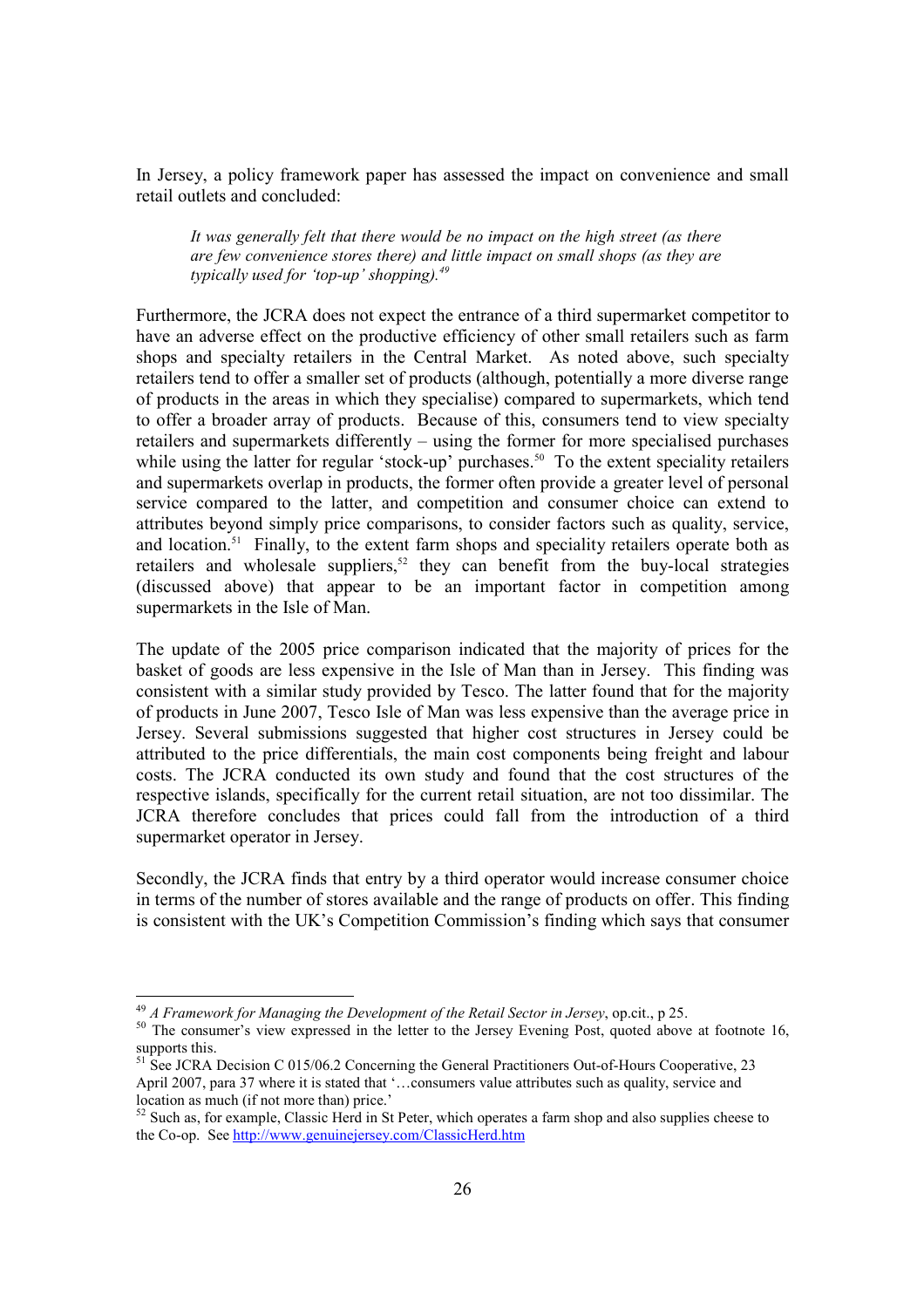In Jersey, a policy framework paper has assessed the impact on convenience and small retail outlets and concluded:

It was generally felt that there would be no impact on the high street (as there are few convenience stores there) and little impact on small shops (as they are typically used for 'top-up' shopping). $^{49}$ 

Furthermore, the JCRA does not expect the entrance of a third supermarket competitor to have an adverse effect on the productive efficiency of other small retailers such as farm shops and specialty retailers in the Central Market. As noted above, such specialty retailers tend to offer a smaller set of products (although, potentially a more diverse range of products in the areas in which they specialise) compared to supermarkets, which tend to offer a broader array of products. Because of this, consumers tend to view specialty retailers and supermarkets differently – using the former for more specialised purchases while using the latter for regular 'stock-up' purchases.<sup>50</sup> To the extent speciality retailers and supermarkets overlap in products, the former often provide a greater level of personal service compared to the latter, and competition and consumer choice can extend to attributes beyond simply price comparisons, to consider factors such as quality, service, and location.<sup>51</sup> Finally, to the extent farm shops and speciality retailers operate both as retailers and wholesale suppliers,<sup>52</sup> they can benefit from the buy-local strategies (discussed above) that appear to be an important factor in competition among supermarkets in the Isle of Man.

The update of the 2005 price comparison indicated that the majority of prices for the basket of goods are less expensive in the Isle of Man than in Jersey. This finding was consistent with a similar study provided by Tesco. The latter found that for the majority of products in June 2007, Tesco Isle of Man was less expensive than the average price in Jersey. Several submissions suggested that higher cost structures in Jersey could be attributed to the price differentials, the main cost components being freight and labour costs. The JCRA conducted its own study and found that the cost structures of the respective islands, specifically for the current retail situation, are not too dissimilar. The JCRA therefore concludes that prices could fall from the introduction of a third supermarket operator in Jersey.

Secondly, the JCRA finds that entry by a third operator would increase consumer choice in terms of the number of stores available and the range of products on offer. This finding is consistent with the UK's Competition Commission's finding which says that consumer

 $^{49}$  A Framework for Managing the Development of the Retail Sector in Jersey, op.cit., p 25.

<sup>&</sup>lt;sup>50</sup> The consumer's view expressed in the letter to the Jersey Evening Post, quoted above at footnote 16, supports this.

 $51$  See JCRA Decision C 015/06.2 Concerning the General Practitioners Out-of-Hours Cooperative, 23 April 2007, para 37 where it is stated that '…consumers value attributes such as quality, service and location as much (if not more than) price.'

 $52$  Such as, for example, Classic Herd in St Peter, which operates a farm shop and also supplies cheese to the Co-op. See http://www.genuinejersey.com/ClassicHerd.htm